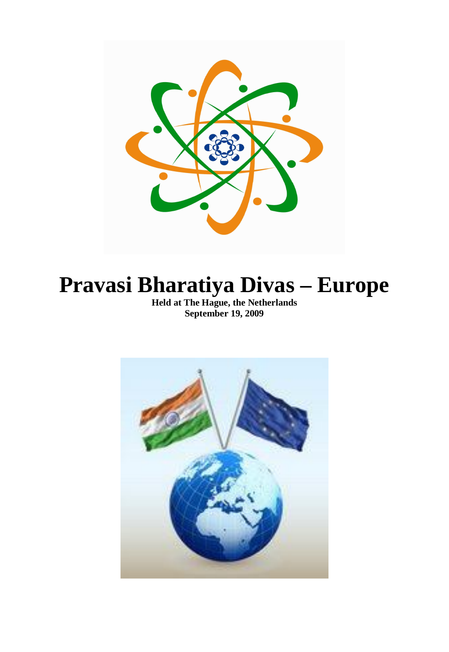

# **Pravasi Bharatiya Divas – Europe**

**Held at The Hague, the Netherlands September 19, 2009**

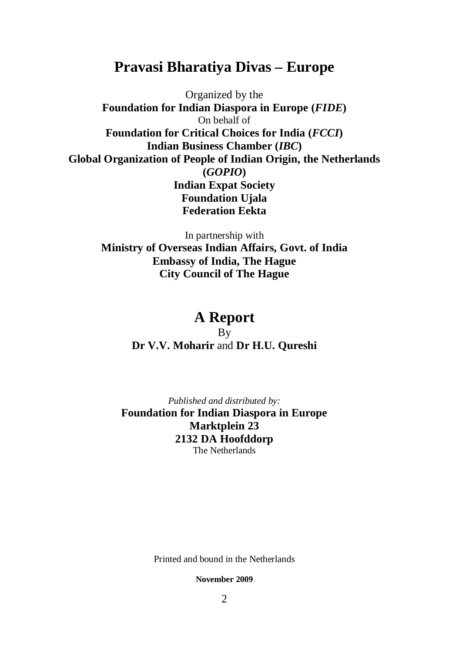# **Pravasi Bharatiya Divas – Europe**

Organized by the **Foundation for Indian Diaspora in Europe (***FIDE***)** On behalf of **Foundation for Critical Choices for India (***FCCI***) Indian Business Chamber (***IBC***) Global Organization of People of Indian Origin, the Netherlands (***GOPIO***) Indian Expat Society Foundation Ujala Federation Eekta**

> In partnership with **Ministry of Overseas Indian Affairs, Govt. of India Embassy of India, The Hague City Council of The Hague**

# **A Report**

By **Dr V.V. Moharir** and **Dr H.U. Qureshi**

*Published and distributed by:* **Foundation for Indian Diaspora in Europe Marktplein 23 2132 DA Hoofddorp** The Netherlands

Printed and bound in the Netherlands

**November 2009**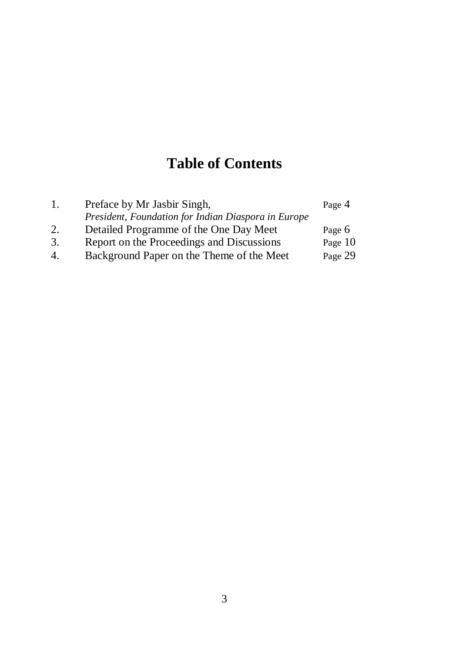# **Table of Contents**

| 1. | Preface by Mr Jasbir Singh,                         | Page 4  |
|----|-----------------------------------------------------|---------|
|    | President, Foundation for Indian Diaspora in Europe |         |
| 2. | Detailed Programme of the One Day Meet              | Page 6  |
| 3. | Report on the Proceedings and Discussions           | Page 10 |
| 4. | Background Paper on the Theme of the Meet           | Page 29 |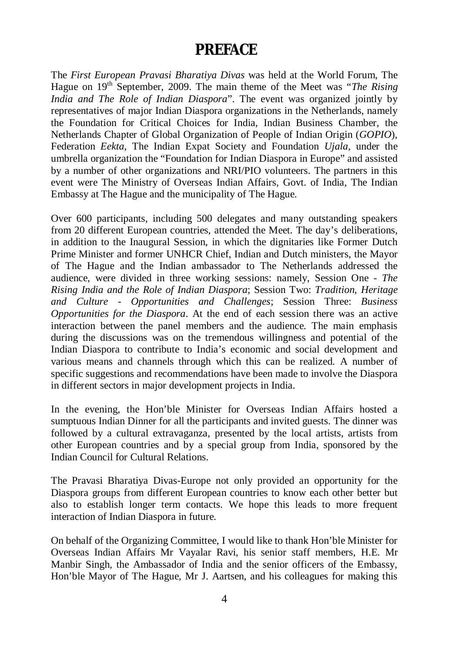# **PREFACE**

The *First European Pravasi Bharatiya Divas* was held at the World Forum, The Hague on 19<sup>th</sup> September, 2009. The main theme of the Meet was "*The Rising India and The Role of Indian Diaspora*". The event was organized jointly by representatives of major Indian Diaspora organizations in the Netherlands, namely the Foundation for Critical Choices for India, Indian Business Chamber, the Netherlands Chapter of Global Organization of People of Indian Origin (*GOPIO*), Federation *Eekta*, The Indian Expat Society and Foundation *Ujala*, under the umbrella organization the "Foundation for Indian Diaspora in Europe" and assisted by a number of other organizations and NRI/PIO volunteers. The partners in this event were The Ministry of Overseas Indian Affairs, Govt. of India, The Indian Embassy at The Hague and the municipality of The Hague.

Over 600 participants, including 500 delegates and many outstanding speakers from 20 different European countries, attended the Meet. The day's deliberations, in addition to the Inaugural Session, in which the dignitaries like Former Dutch Prime Minister and former UNHCR Chief, Indian and Dutch ministers, the Mayor of The Hague and the Indian ambassador to The Netherlands addressed the audience, were divided in three working sessions: namely, Session One - *The Rising India and the Role of Indian Diaspora*; Session Two: *Tradition, Heritage and Culture - Opportunities and Challenges*; Session Three: *Business Opportunities for the Diaspora*. At the end of each session there was an active interaction between the panel members and the audience. The main emphasis during the discussions was on the tremendous willingness and potential of the Indian Diaspora to contribute to India's economic and social development and various means and channels through which this can be realized. A number of specific suggestions and recommendations have been made to involve the Diaspora in different sectors in major development projects in India.

In the evening, the Hon'ble Minister for Overseas Indian Affairs hosted a sumptuous Indian Dinner for all the participants and invited guests. The dinner was followed by a cultural extravaganza, presented by the local artists, artists from other European countries and by a special group from India, sponsored by the Indian Council for Cultural Relations.

The Pravasi Bharatiya Divas-Europe not only provided an opportunity for the Diaspora groups from different European countries to know each other better but also to establish longer term contacts. We hope this leads to more frequent interaction of Indian Diaspora in future.

On behalf of the Organizing Committee, I would like to thank Hon'ble Minister for Overseas Indian Affairs Mr Vayalar Ravi, his senior staff members, H.E. Mr Manbir Singh, the Ambassador of India and the senior officers of the Embassy, Hon'ble Mayor of The Hague, Mr J. Aartsen, and his colleagues for making this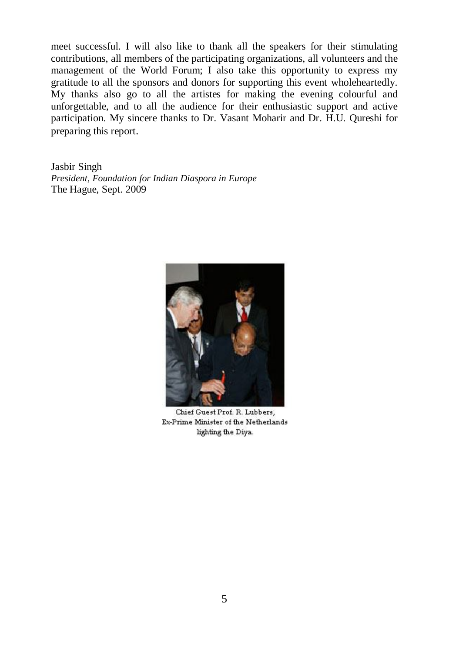meet successful. I will also like to thank all the speakers for their stimulating contributions, all members of the participating organizations, all volunteers and the management of the World Forum; I also take this opportunity to express my gratitude to all the sponsors and donors for supporting this event wholeheartedly. My thanks also go to all the artistes for making the evening colourful and unforgettable, and to all the audience for their enthusiastic support and active participation. My sincere thanks to Dr. Vasant Moharir and Dr. H.U. Qureshi for preparing this report.

Jasbir Singh *President, Foundation for Indian Diaspora in Europe* The Hague, Sept. 2009



Chief Guest Prof. R. Lubbers, Ex-Prime Minister of the Netherlands lighting the Diya.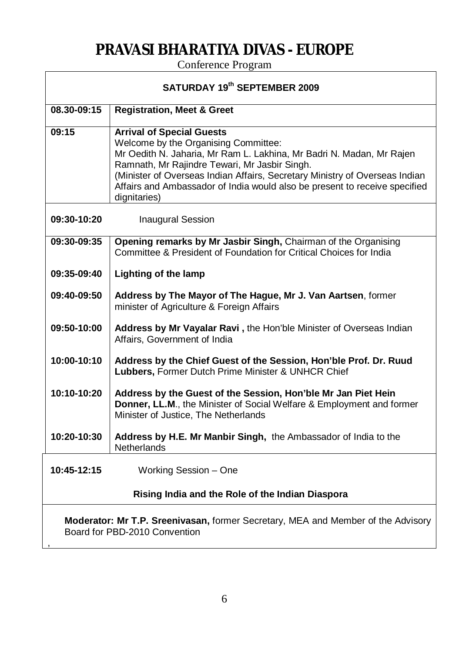# **PRAVASI BHARATIYA DIVAS - EUROPE**

Conference Program

| SATURDAY 19th SEPTEMBER 2009                                                                                      |                                                                                                                                                                                                                                                                                                                                                                                |
|-------------------------------------------------------------------------------------------------------------------|--------------------------------------------------------------------------------------------------------------------------------------------------------------------------------------------------------------------------------------------------------------------------------------------------------------------------------------------------------------------------------|
| 08.30-09:15                                                                                                       | <b>Registration, Meet &amp; Greet</b>                                                                                                                                                                                                                                                                                                                                          |
| 09:15                                                                                                             | <b>Arrival of Special Guests</b><br>Welcome by the Organising Committee:<br>Mr Oedith N. Jaharia, Mr Ram L. Lakhina, Mr Badri N. Madan, Mr Rajen<br>Ramnath, Mr Rajindre Tewari, Mr Jasbir Singh.<br>(Minister of Overseas Indian Affairs, Secretary Ministry of Overseas Indian<br>Affairs and Ambassador of India would also be present to receive specified<br>dignitaries) |
| 09:30-10:20                                                                                                       | <b>Inaugural Session</b>                                                                                                                                                                                                                                                                                                                                                       |
| 09:30-09:35                                                                                                       | Opening remarks by Mr Jasbir Singh, Chairman of the Organising<br>Committee & President of Foundation for Critical Choices for India                                                                                                                                                                                                                                           |
| 09:35-09:40                                                                                                       | <b>Lighting of the lamp</b>                                                                                                                                                                                                                                                                                                                                                    |
| 09:40-09:50                                                                                                       | Address by The Mayor of The Hague, Mr J. Van Aartsen, former<br>minister of Agriculture & Foreign Affairs                                                                                                                                                                                                                                                                      |
| 09:50-10:00                                                                                                       | Address by Mr Vayalar Ravi, the Hon'ble Minister of Overseas Indian<br>Affairs, Government of India                                                                                                                                                                                                                                                                            |
| 10:00-10:10                                                                                                       | Address by the Chief Guest of the Session, Hon'ble Prof. Dr. Ruud<br>Lubbers, Former Dutch Prime Minister & UNHCR Chief                                                                                                                                                                                                                                                        |
| 10:10-10:20                                                                                                       | Address by the Guest of the Session, Hon'ble Mr Jan Piet Hein<br>Donner, LL.M., the Minister of Social Welfare & Employment and former<br>Minister of Justice, The Netherlands                                                                                                                                                                                                 |
| 10:20-10:30                                                                                                       | Address by H.E. Mr Manbir Singh, the Ambassador of India to the<br><b>Netherlands</b>                                                                                                                                                                                                                                                                                          |
| 10:45-12:15                                                                                                       | Working Session - One                                                                                                                                                                                                                                                                                                                                                          |
| Rising India and the Role of the Indian Diaspora                                                                  |                                                                                                                                                                                                                                                                                                                                                                                |
| Moderator: Mr T.P. Sreenivasan, former Secretary, MEA and Member of the Advisory<br>Board for PBD-2010 Convention |                                                                                                                                                                                                                                                                                                                                                                                |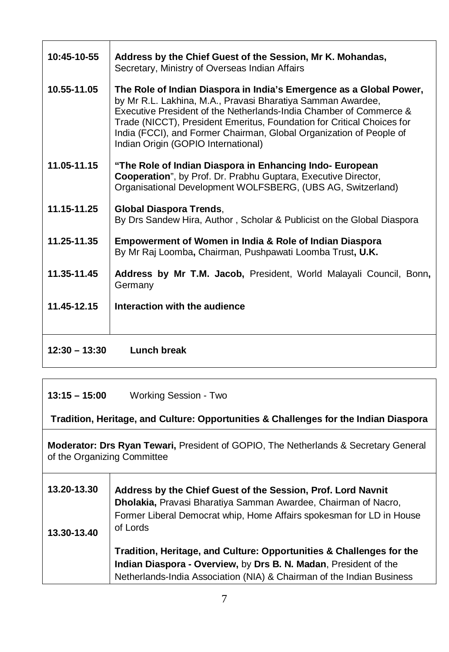| 10:45-10-55     | Address by the Chief Guest of the Session, Mr K. Mohandas,<br>Secretary, Ministry of Overseas Indian Affairs                                                                                                                                                                                                                                                                                     |
|-----------------|--------------------------------------------------------------------------------------------------------------------------------------------------------------------------------------------------------------------------------------------------------------------------------------------------------------------------------------------------------------------------------------------------|
| 10.55-11.05     | The Role of Indian Diaspora in India's Emergence as a Global Power,<br>by Mr R.L. Lakhina, M.A., Pravasi Bharatiya Samman Awardee,<br>Executive President of the Netherlands-India Chamber of Commerce &<br>Trade (NICCT), President Emeritus, Foundation for Critical Choices for<br>India (FCCI), and Former Chairman, Global Organization of People of<br>Indian Origin (GOPIO International) |
| 11.05-11.15     | "The Role of Indian Diaspora in Enhancing Indo- European<br>Cooperation", by Prof. Dr. Prabhu Guptara, Executive Director,<br>Organisational Development WOLFSBERG, (UBS AG, Switzerland)                                                                                                                                                                                                        |
| 11.15-11.25     | Global Diaspora Trends,<br>By Drs Sandew Hira, Author, Scholar & Publicist on the Global Diaspora                                                                                                                                                                                                                                                                                                |
| 11.25-11.35     | <b>Empowerment of Women in India &amp; Role of Indian Diaspora</b><br>By Mr Raj Loomba, Chairman, Pushpawati Loomba Trust, U.K.                                                                                                                                                                                                                                                                  |
| 11.35-11.45     | Address by Mr T.M. Jacob, President, World Malayali Council, Bonn,<br>Germany                                                                                                                                                                                                                                                                                                                    |
| 11.45-12.15     | Interaction with the audience                                                                                                                                                                                                                                                                                                                                                                    |
| $12:30 - 13:30$ | Lunch break                                                                                                                                                                                                                                                                                                                                                                                      |

**13:15 – 15:00** Working Session - Two

**Tradition, Heritage, and Culture: Opportunities & Challenges for the Indian Diaspora**

**Moderator: Drs Ryan Tewari,** President of GOPIO, The Netherlands & Secretary General of the Organizing Committee

| 13.20-13.30<br>13.30-13.40 | Address by the Chief Guest of the Session, Prof. Lord Navnit<br>Dholakia, Pravasi Bharatiya Samman Awardee, Chairman of Nacro,<br>Former Liberal Democrat whip, Home Affairs spokesman for LD in House<br>of Lords |
|----------------------------|--------------------------------------------------------------------------------------------------------------------------------------------------------------------------------------------------------------------|
|                            | Tradition, Heritage, and Culture: Opportunities & Challenges for the<br>Indian Diaspora - Overview, by Drs B. N. Madan, President of the<br>Netherlands-India Association (NIA) & Chairman of the Indian Business  |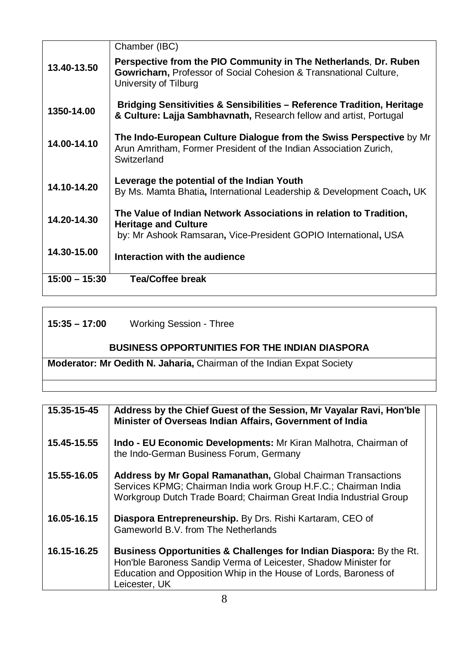|                 | Chamber (IBC)                                                                                                                                                        |
|-----------------|----------------------------------------------------------------------------------------------------------------------------------------------------------------------|
| 13.40-13.50     | Perspective from the PIO Community in The Netherlands, Dr. Ruben<br>Gowricharn, Professor of Social Cohesion & Transnational Culture,<br>University of Tilburg       |
| 1350-14.00      | <b>Bridging Sensitivities &amp; Sensibilities - Reference Tradition, Heritage</b><br>& Culture: Lajja Sambhavnath, Research fellow and artist, Portugal              |
| 14.00-14.10     | The Indo-European Culture Dialogue from the Swiss Perspective by Mr<br>Arun Amritham, Former President of the Indian Association Zurich,<br>Switzerland              |
| 14.10-14.20     | Leverage the potential of the Indian Youth<br>By Ms. Mamta Bhatia, International Leadership & Development Coach, UK                                                  |
| 14.20-14.30     | The Value of Indian Network Associations in relation to Tradition,<br><b>Heritage and Culture</b><br>by: Mr Ashook Ramsaran, Vice-President GOPIO International, USA |
| 14.30-15.00     | Interaction with the audience                                                                                                                                        |
| $15:00 - 15:30$ | <b>Tea/Coffee break</b>                                                                                                                                              |
|                 |                                                                                                                                                                      |

| $15:35 - 17:00$ | <b>Working Session - Three</b>                                        |
|-----------------|-----------------------------------------------------------------------|
|                 | <b>BUSINESS OPPORTUNITIES FOR THE INDIAN DIASPORA</b>                 |
|                 | Moderator: Mr Oedith N. Jaharia, Chairman of the Indian Expat Society |
|                 |                                                                       |

| 15.35-15-45 | Address by the Chief Guest of the Session, Mr Vayalar Ravi, Hon'ble<br>Minister of Overseas Indian Affairs, Government of India                                                                                             |
|-------------|-----------------------------------------------------------------------------------------------------------------------------------------------------------------------------------------------------------------------------|
| 15.45-15.55 | Indo - EU Economic Developments: Mr Kiran Malhotra, Chairman of<br>the Indo-German Business Forum, Germany                                                                                                                  |
| 15.55-16.05 | <b>Address by Mr Gopal Ramanathan, Global Chairman Transactions</b><br>Services KPMG; Chairman India work Group H.F.C.; Chairman India<br>Workgroup Dutch Trade Board; Chairman Great India Industrial Group                |
| 16.05-16.15 | Diaspora Entrepreneurship. By Drs. Rishi Kartaram, CEO of<br>Gameworld B.V. from The Netherlands                                                                                                                            |
| 16.15-16.25 | Business Opportunities & Challenges for Indian Diaspora: By the Rt.<br>Hon'ble Baroness Sandip Verma of Leicester, Shadow Minister for<br>Education and Opposition Whip in the House of Lords, Baroness of<br>Leicester, UK |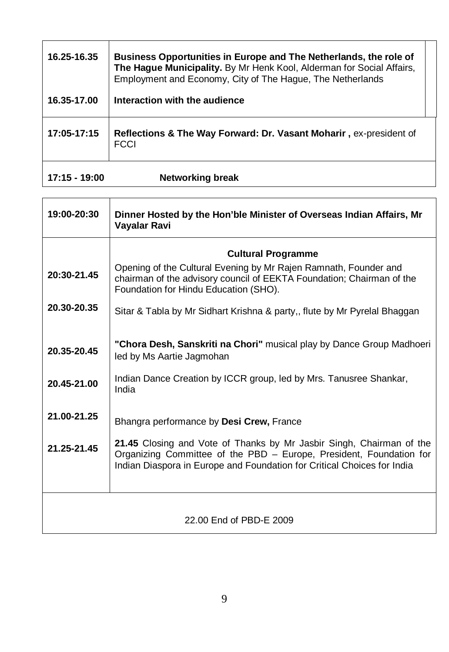| 16.25-16.35   | Business Opportunities in Europe and The Netherlands, the role of<br>The Hague Municipality. By Mr Henk Kool, Alderman for Social Affairs,<br>Employment and Economy, City of The Hague, The Netherlands |  |
|---------------|----------------------------------------------------------------------------------------------------------------------------------------------------------------------------------------------------------|--|
| 16.35-17.00   | Interaction with the audience                                                                                                                                                                            |  |
| 17:05-17:15   | Reflections & The Way Forward: Dr. Vasant Moharir, ex-president of<br><b>FCCI</b>                                                                                                                        |  |
| 17:15 - 19:00 | Networking break                                                                                                                                                                                         |  |

| 19:00-20:30             | Dinner Hosted by the Hon'ble Minister of Overseas Indian Affairs, Mr<br>Vayalar Ravi                                                                                                                                   |
|-------------------------|------------------------------------------------------------------------------------------------------------------------------------------------------------------------------------------------------------------------|
|                         | <b>Cultural Programme</b>                                                                                                                                                                                              |
| 20:30-21.45             | Opening of the Cultural Evening by Mr Rajen Ramnath, Founder and<br>chairman of the advisory council of EEKTA Foundation; Chairman of the<br>Foundation for Hindu Education (SHO).                                     |
| 20.30-20.35             | Sitar & Tabla by Mr Sidhart Krishna & party,, flute by Mr Pyrelal Bhaggan                                                                                                                                              |
| 20.35-20.45             | "Chora Desh, Sanskriti na Chori" musical play by Dance Group Madhoeri<br>led by Ms Aartie Jagmohan                                                                                                                     |
| 20.45-21.00             | Indian Dance Creation by ICCR group, led by Mrs. Tanusree Shankar,<br>India                                                                                                                                            |
| 21.00-21.25             | Bhangra performance by Desi Crew, France                                                                                                                                                                               |
| 21.25-21.45             | 21.45 Closing and Vote of Thanks by Mr Jasbir Singh, Chairman of the<br>Organizing Committee of the PBD - Europe, President, Foundation for<br>Indian Diaspora in Europe and Foundation for Critical Choices for India |
| 22.00 End of PBD-E 2009 |                                                                                                                                                                                                                        |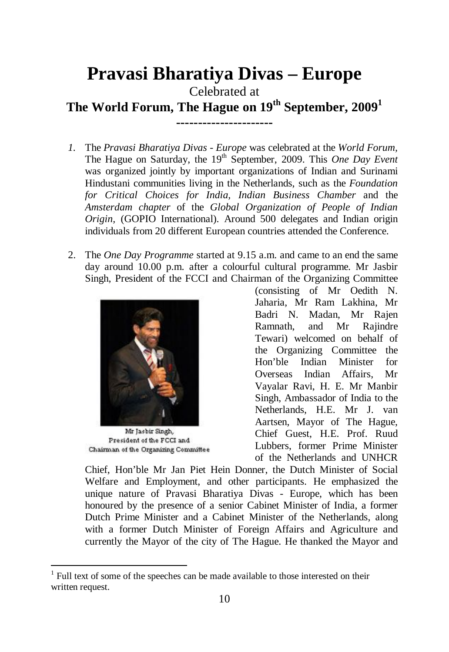# **Pravasi Bharatiya Divas – Europe**

Celebrated at

**The World Forum, The Hague on 19th September, 2009<sup>1</sup>**

- **----------------------**
- *1.* The *Pravasi Bharatiya Divas Europe* was celebrated at the *World Forum,* The Hague on Saturday, the 19<sup>th</sup> September, 2009. This *One Day Event* was organized jointly by important organizations of Indian and Surinami Hindustani communities living in the Netherlands, such as the *Foundation for Critical Choices for India, Indian Business Chamber* and the *Amsterdam chapter* of the *Global Organization of People of Indian Origin,* (GOPIO International). Around 500 delegates and Indian origin individuals from 20 different European countries attended the Conference.
- 2. The *One Day Programme* started at 9.15 a.m. and came to an end the same day around 10.00 p.m. after a colourful cultural programme. Mr Jasbir Singh, President of the FCCI and Chairman of the Organizing Committee



Mr Jasbir Singh, President of the FCCI and Chairman of the Organizing Committee

 $\overline{a}$ 

(consisting of Mr Oedith N. Jaharia, Mr Ram Lakhina, Mr Badri N. Madan, Mr Rajen Ramnath, and Mr Rajindre Tewari) welcomed on behalf of the Organizing Committee the Hon'ble Indian Minister for Overseas Indian Affairs, Mr Vayalar Ravi, H. E. Mr Manbir Singh, Ambassador of India to the Netherlands, H.E. Mr J. van Aartsen, Mayor of The Hague, Chief Guest, H.E. Prof. Ruud Lubbers, former Prime Minister of the Netherlands and UNHCR

Chief, Hon'ble Mr Jan Piet Hein Donner, the Dutch Minister of Social Welfare and Employment, and other participants. He emphasized the unique nature of Pravasi Bharatiya Divas - Europe, which has been honoured by the presence of a senior Cabinet Minister of India, a former Dutch Prime Minister and a Cabinet Minister of the Netherlands, along with a former Dutch Minister of Foreign Affairs and Agriculture and currently the Mayor of the city of The Hague. He thanked the Mayor and

<sup>1</sup> Full text of some of the speeches can be made available to those interested on their written request.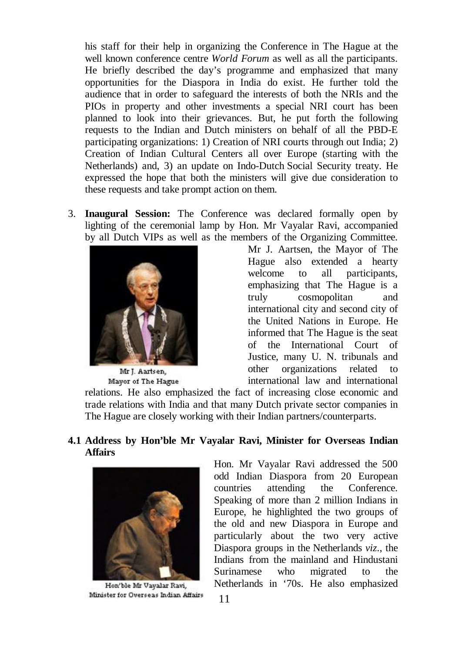his staff for their help in organizing the Conference in The Hague at the well known conference centre *World Forum* as well as all the participants. He briefly described the day's programme and emphasized that many opportunities for the Diaspora in India do exist. He further told the audience that in order to safeguard the interests of both the NRIs and the PIOs in property and other investments a special NRI court has been planned to look into their grievances. But, he put forth the following requests to the Indian and Dutch ministers on behalf of all the PBD-E participating organizations: 1) Creation of NRI courts through out India; 2) Creation of Indian Cultural Centers all over Europe (starting with the Netherlands) and, 3) an update on Indo-Dutch Social Security treaty. He expressed the hope that both the ministers will give due consideration to these requests and take prompt action on them.

3. **Inaugural Session:** The Conference was declared formally open by lighting of the ceremonial lamp by Hon. Mr Vayalar Ravi, accompanied by all Dutch VIPs as well as the members of the Organizing Committee.



Mr J. Aartsen, Mayor of The Hague

Mr J. Aartsen, the Mayor of The Hague also extended a hearty welcome to all participants, emphasizing that The Hague is a truly cosmopolitan and international city and second city of the United Nations in Europe. He informed that The Hague is the seat of the International Court of Justice, many U. N. tribunals and other organizations related to international law and international

relations. He also emphasized the fact of increasing close economic and trade relations with India and that many Dutch private sector companies in The Hague are closely working with their Indian partners/counterparts.

# **4.1 Address by Hon'ble Mr Vayalar Ravi, Minister for Overseas Indian Affairs**



Hon'ble Mr Vayalar Ravi, Minister for Overseas Indian Affairs

Hon. Mr Vayalar Ravi addressed the 500 odd Indian Diaspora from 20 European countries attending the Conference. Speaking of more than 2 million Indians in Europe, he highlighted the two groups of the old and new Diaspora in Europe and particularly about the two very active Diaspora groups in the Netherlands *viz*., the Indians from the mainland and Hindustani Surinamese who migrated to the Netherlands in '70s. He also emphasized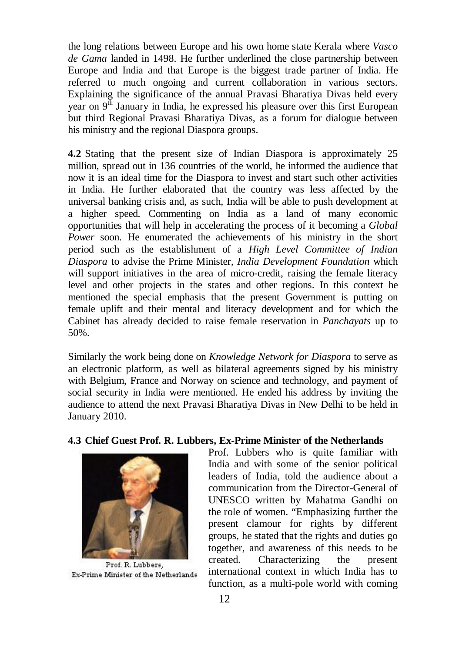the long relations between Europe and his own home state Kerala where *Vasco de Gama* landed in 1498. He further underlined the close partnership between Europe and India and that Europe is the biggest trade partner of India. He referred to much ongoing and current collaboration in various sectors. Explaining the significance of the annual Pravasi Bharatiya Divas held every year on  $9<sup>th</sup>$  January in India, he expressed his pleasure over this first European but third Regional Pravasi Bharatiya Divas, as a forum for dialogue between his ministry and the regional Diaspora groups.

**4.2** Stating that the present size of Indian Diaspora is approximately 25 million, spread out in 136 countries of the world, he informed the audience that now it is an ideal time for the Diaspora to invest and start such other activities in India. He further elaborated that the country was less affected by the universal banking crisis and, as such, India will be able to push development at a higher speed. Commenting on India as a land of many economic opportunities that will help in accelerating the process of it becoming a *Global Power* soon. He enumerated the achievements of his ministry in the short period such as the establishment of a *High Level Committee of Indian Diaspora* to advise the Prime Minister*, India Development Foundation* which will support initiatives in the area of micro-credit, raising the female literacy level and other projects in the states and other regions. In this context he mentioned the special emphasis that the present Government is putting on female uplift and their mental and literacy development and for which the Cabinet has already decided to raise female reservation in *Panchayats* up to 50%.

Similarly the work being done on *Knowledge Network for Diaspora* to serve as an electronic platform, as well as bilateral agreements signed by his ministry with Belgium, France and Norway on science and technology, and payment of social security in India were mentioned. He ended his address by inviting the audience to attend the next Pravasi Bharatiya Divas in New Delhi to be held in January 2010.

# **4.3 Chief Guest Prof. R. Lubbers, Ex-Prime Minister of the Netherlands**



Prof. R. Lubbers, Ex-Prime Minister of the Netherlands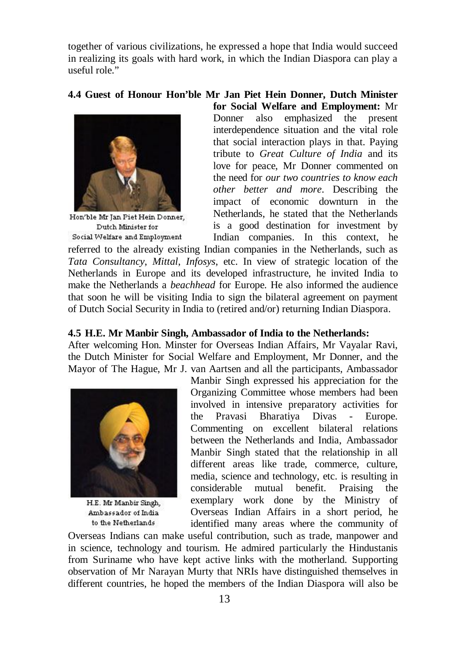together of various civilizations, he expressed a hope that India would succeed in realizing its goals with hard work, in which the Indian Diaspora can play a useful role."

**4.4 Guest of Honour Hon'ble Mr Jan Piet Hein Donner, Dutch Minister** 



Hon'ble Mr Jan Piet Hein Donner. Dutch Minister for Social Welfare and Employment

**for Social Welfare and Employment:** Mr Donner also emphasized the present interdependence situation and the vital role that social interaction plays in that. Paying tribute to *Great Culture of India* and its love for peace, Mr Donner commented on the need for *our two countries to know each other better and more*. Describing the impact of economic downturn in the Netherlands, he stated that the Netherlands is a good destination for investment by Indian companies. In this context, he

referred to the already existing Indian companies in the Netherlands, such as *Tata Consultancy*, *Mittal*, *Infosys*, etc. In view of strategic location of the Netherlands in Europe and its developed infrastructure, he invited India to make the Netherlands a *beachhead* for Europe. He also informed the audience that soon he will be visiting India to sign the bilateral agreement on payment of Dutch Social Security in India to (retired and/or) returning Indian Diaspora.

#### **4.5 H.E. Mr Manbir Singh, Ambassador of India to the Netherlands:**

After welcoming Hon. Minster for Overseas Indian Affairs, Mr Vayalar Ravi, the Dutch Minister for Social Welfare and Employment, Mr Donner, and the Mayor of The Hague, Mr J. van Aartsen and all the participants, Ambassador



H.E. Mr Manbir Singh, Ambassador of India to the Netherlands

Manbir Singh expressed his appreciation for the Organizing Committee whose members had been involved in intensive preparatory activities for the Pravasi Bharatiya Divas - Europe. Commenting on excellent bilateral relations between the Netherlands and India, Ambassador Manbir Singh stated that the relationship in all different areas like trade, commerce, culture, media, science and technology, etc. is resulting in considerable mutual benefit. Praising the exemplary work done by the Ministry of Overseas Indian Affairs in a short period, he identified many areas where the community of

Overseas Indians can make useful contribution, such as trade, manpower and in science, technology and tourism. He admired particularly the Hindustanis from Suriname who have kept active links with the motherland. Supporting observation of Mr Narayan Murty that NRIs have distinguished themselves in different countries, he hoped the members of the Indian Diaspora will also be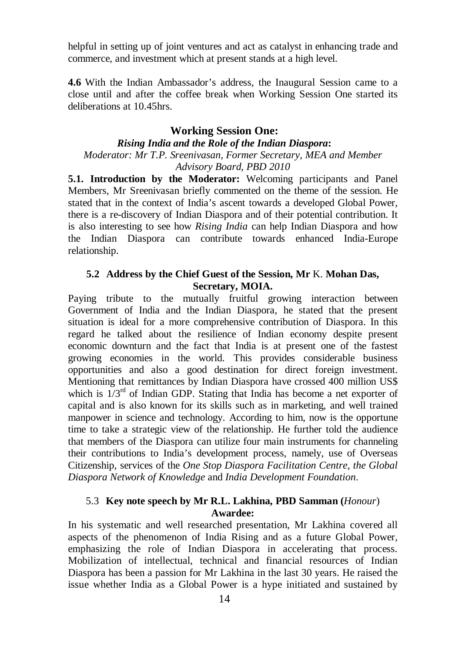helpful in setting up of joint ventures and act as catalyst in enhancing trade and commerce, and investment which at present stands at a high level.

**4.6** With the Indian Ambassador's address, the Inaugural Session came to a close until and after the coffee break when Working Session One started its deliberations at 10.45hrs.

# **Working Session One:**

# *Rising India and the Role of the Indian Diaspora***:**

# *Moderator: Mr T.P. Sreenivasan, Former Secretary, MEA and Member Advisory Board, PBD 2010*

**5.1. Introduction by the Moderator:** Welcoming participants and Panel Members, Mr Sreenivasan briefly commented on the theme of the session. He stated that in the context of India's ascent towards a developed Global Power, there is a re-discovery of Indian Diaspora and of their potential contribution. It is also interesting to see how *Rising India* can help Indian Diaspora and how the Indian Diaspora can contribute towards enhanced India-Europe relationship.

# **5.2 Address by the Chief Guest of the Session, Mr** K. **Mohan Das, Secretary, MOIA.**

Paying tribute to the mutually fruitful growing interaction between Government of India and the Indian Diaspora, he stated that the present situation is ideal for a more comprehensive contribution of Diaspora. In this regard he talked about the resilience of Indian economy despite present economic downturn and the fact that India is at present one of the fastest growing economies in the world. This provides considerable business opportunities and also a good destination for direct foreign investment. Mentioning that remittances by Indian Diaspora have crossed 400 million US\$ which is  $1/3<sup>rd</sup>$  of Indian GDP. Stating that India has become a net exporter of capital and is also known for its skills such as in marketing, and well trained manpower in science and technology. According to him, now is the opportune time to take a strategic view of the relationship. He further told the audience that members of the Diaspora can utilize four main instruments for channeling their contributions to India's development process, namely, use of Overseas Citizenship, services of the *One Stop Diaspora Facilitation Centre, the Global Diaspora Network of Knowledge* and *India Development Foundation*.

# 5.3 **Key note speech by Mr R.L. Lakhina, PBD Samman (***Honour*) **Awardee:**

In his systematic and well researched presentation, Mr Lakhina covered all aspects of the phenomenon of India Rising and as a future Global Power, emphasizing the role of Indian Diaspora in accelerating that process. Mobilization of intellectual, technical and financial resources of Indian Diaspora has been a passion for Mr Lakhina in the last 30 years. He raised the issue whether India as a Global Power is a hype initiated and sustained by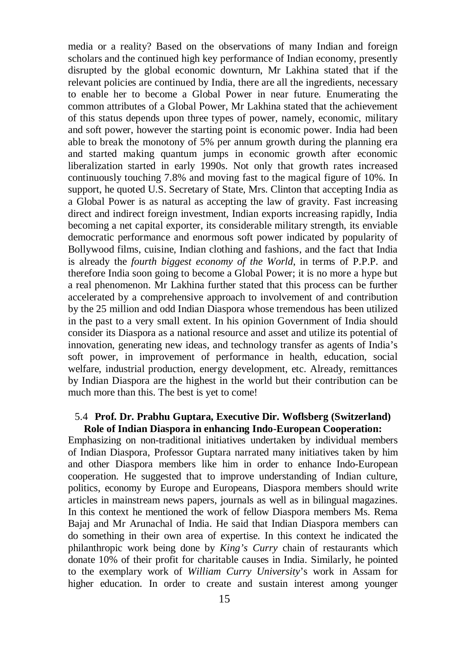media or a reality? Based on the observations of many Indian and foreign scholars and the continued high key performance of Indian economy, presently disrupted by the global economic downturn, Mr Lakhina stated that if the relevant policies are continued by India, there are all the ingredients, necessary to enable her to become a Global Power in near future. Enumerating the common attributes of a Global Power, Mr Lakhina stated that the achievement of this status depends upon three types of power, namely, economic, military and soft power, however the starting point is economic power. India had been able to break the monotony of 5% per annum growth during the planning era and started making quantum jumps in economic growth after economic liberalization started in early 1990s. Not only that growth rates increased continuously touching 7.8% and moving fast to the magical figure of 10%. In support, he quoted U.S. Secretary of State, Mrs. Clinton that accepting India as a Global Power is as natural as accepting the law of gravity. Fast increasing direct and indirect foreign investment, Indian exports increasing rapidly, India becoming a net capital exporter, its considerable military strength, its enviable democratic performance and enormous soft power indicated by popularity of Bollywood films, cuisine, Indian clothing and fashions, and the fact that India is already the *fourth biggest economy of the World*, in terms of P.P.P. and therefore India soon going to become a Global Power; it is no more a hype but a real phenomenon. Mr Lakhina further stated that this process can be further accelerated by a comprehensive approach to involvement of and contribution by the 25 million and odd Indian Diaspora whose tremendous has been utilized in the past to a very small extent. In his opinion Government of India should consider its Diaspora as a national resource and asset and utilize its potential of innovation, generating new ideas, and technology transfer as agents of India's soft power, in improvement of performance in health, education, social welfare, industrial production, energy development, etc. Already, remittances by Indian Diaspora are the highest in the world but their contribution can be much more than this. The best is yet to come!

#### 5.4 **Prof. Dr. Prabhu Guptara, Executive Dir. Woflsberg (Switzerland) Role of Indian Diaspora in enhancing Indo-European Cooperation:**

Emphasizing on non-traditional initiatives undertaken by individual members of Indian Diaspora, Professor Guptara narrated many initiatives taken by him and other Diaspora members like him in order to enhance Indo-European cooperation. He suggested that to improve understanding of Indian culture, politics, economy by Europe and Europeans, Diaspora members should write articles in mainstream news papers, journals as well as in bilingual magazines. In this context he mentioned the work of fellow Diaspora members Ms. Rema Bajaj and Mr Arunachal of India. He said that Indian Diaspora members can do something in their own area of expertise. In this context he indicated the philanthropic work being done by *King's Curry* chain of restaurants which donate 10% of their profit for charitable causes in India. Similarly, he pointed to the exemplary work of *William Curry University*'s work in Assam for higher education. In order to create and sustain interest among younger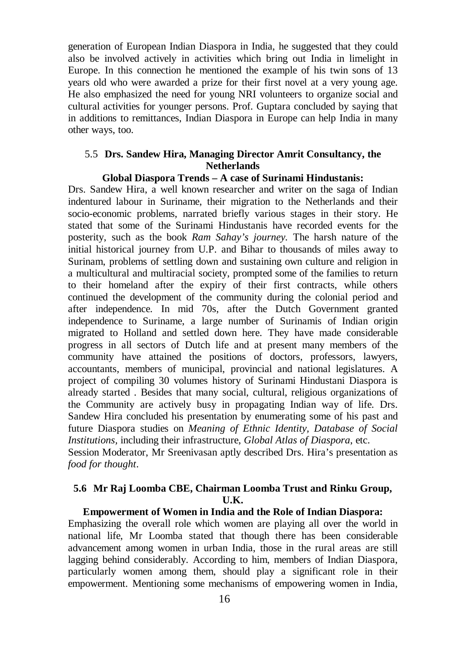generation of European Indian Diaspora in India, he suggested that they could also be involved actively in activities which bring out India in limelight in Europe. In this connection he mentioned the example of his twin sons of 13 years old who were awarded a prize for their first novel at a very young age. He also emphasized the need for young NRI volunteers to organize social and cultural activities for younger persons. Prof. Guptara concluded by saying that in additions to remittances, Indian Diaspora in Europe can help India in many other ways, too.

## 5.5 **Drs. Sandew Hira, Managing Director Amrit Consultancy, the Netherlands**

#### **Global Diaspora Trends – A case of Surinami Hindustanis:**

Drs. Sandew Hira, a well known researcher and writer on the saga of Indian indentured labour in Suriname, their migration to the Netherlands and their socio-economic problems, narrated briefly various stages in their story. He stated that some of the Surinami Hindustanis have recorded events for the posterity, such as the book *Ram Sahay's journey.* The harsh nature of the initial historical journey from U.P. and Bihar to thousands of miles away to Surinam, problems of settling down and sustaining own culture and religion in a multicultural and multiracial society, prompted some of the families to return to their homeland after the expiry of their first contracts, while others continued the development of the community during the colonial period and after independence. In mid 70s, after the Dutch Government granted independence to Suriname, a large number of Surinamis of Indian origin migrated to Holland and settled down here. They have made considerable progress in all sectors of Dutch life and at present many members of the community have attained the positions of doctors, professors, lawyers, accountants, members of municipal, provincial and national legislatures. A project of compiling 30 volumes history of Surinami Hindustani Diaspora is already started . Besides that many social, cultural, religious organizations of the Community are actively busy in propagating Indian way of life. Drs. Sandew Hira concluded his presentation by enumerating some of his past and future Diaspora studies on *Meaning of Ethnic Identity, Database of Social Institutions,* including their infrastructure, *Global Atlas of Diaspora*, etc. Session Moderator, Mr Sreenivasan aptly described Drs. Hira's presentation as *food for thought*.

# **5.6 Mr Raj Loomba CBE, Chairman Loomba Trust and Rinku Group, U.K.**

#### **Empowerment of Women in India and the Role of Indian Diaspora:**

Emphasizing the overall role which women are playing all over the world in national life, Mr Loomba stated that though there has been considerable advancement among women in urban India, those in the rural areas are still lagging behind considerably. According to him, members of Indian Diaspora, particularly women among them, should play a significant role in their empowerment. Mentioning some mechanisms of empowering women in India,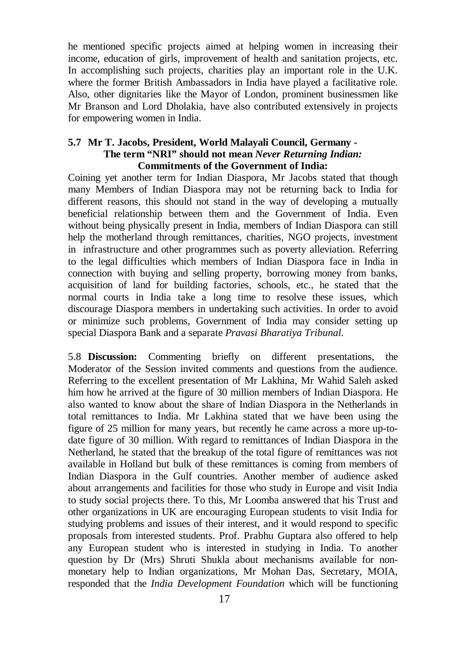he mentioned specific projects aimed at helping women in increasing their income, education of girls, improvement of health and sanitation projects, etc. In accomplishing such projects, charities play an important role in the U.K. where the former British Ambassadors in India have played a facilitative role. Also, other dignitaries like the Mayor of London, prominent businessmen like Mr Branson and Lord Dholakia, have also contributed extensively in projects for empowering women in India.

# **5.7 Mr T. Jacobs, President, World Malayali Council, Germany - The term "NRI" should not mean** *Never Returning Indian:* **Commitments of the Government of India:**

Coining yet another term for Indian Diaspora, Mr Jacobs stated that though many Members of Indian Diaspora may not be returning back to India for different reasons, this should not stand in the way of developing a mutually beneficial relationship between them and the Government of India. Even without being physically present in India, members of Indian Diaspora can still help the motherland through remittances, charities, NGO projects, investment in infrastructure and other programmes such as poverty alleviation. Referring to the legal difficulties which members of Indian Diaspora face in India in connection with buying and selling property, borrowing money from banks, acquisition of land for building factories, schools, etc., he stated that the normal courts in India take a long time to resolve these issues, which discourage Diaspora members in undertaking such activities. In order to avoid or minimize such problems, Government of India may consider setting up special Diaspora Bank and a separate *Pravasi Bharatiya Tribunal.*

5.8 **Discussion:** Commenting briefly on different presentations, the Moderator of the Session invited comments and questions from the audience. Referring to the excellent presentation of Mr Lakhina, Mr Wahid Saleh asked him how he arrived at the figure of 30 million members of Indian Diaspora. He also wanted to know about the share of Indian Diaspora in the Netherlands in total remittances to India. Mr Lakhina stated that we have been using the figure of 25 million for many years, but recently he came across a more up-todate figure of 30 million. With regard to remittances of Indian Diaspora in the Netherland, he stated that the breakup of the total figure of remittances was not available in Holland but bulk of these remittances is coming from members of Indian Diaspora in the Gulf countries. Another member of audience asked about arrangements and facilities for those who study in Europe and visit India to study social projects there. To this, Mr Loomba answered that his Trust and other organizations in UK are encouraging European students to visit India for studying problems and issues of their interest, and it would respond to specific proposals from interested students. Prof. Prabhu Guptara also offered to help any European student who is interested in studying in India. To another question by Dr (Mrs) Shruti Shukla about mechanisms available for nonmonetary help to Indian organizations, Mr Mohan Das, Secretary, MOIA, responded that the *India Development Foundation* which will be functioning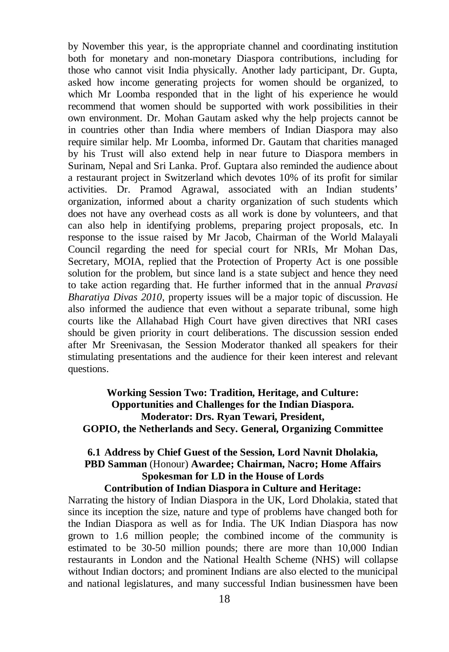by November this year, is the appropriate channel and coordinating institution both for monetary and non-monetary Diaspora contributions, including for those who cannot visit India physically. Another lady participant, Dr. Gupta, asked how income generating projects for women should be organized, to which Mr Loomba responded that in the light of his experience he would recommend that women should be supported with work possibilities in their own environment. Dr. Mohan Gautam asked why the help projects cannot be in countries other than India where members of Indian Diaspora may also require similar help. Mr Loomba, informed Dr. Gautam that charities managed by his Trust will also extend help in near future to Diaspora members in Surinam, Nepal and Sri Lanka. Prof. Guptara also reminded the audience about a restaurant project in Switzerland which devotes 10% of its profit for similar activities. Dr. Pramod Agrawal, associated with an Indian students' organization, informed about a charity organization of such students which does not have any overhead costs as all work is done by volunteers, and that can also help in identifying problems, preparing project proposals, etc. In response to the issue raised by Mr Jacob, Chairman of the World Malayali Council regarding the need for special court for NRIs, Mr Mohan Das, Secretary, MOIA, replied that the Protection of Property Act is one possible solution for the problem, but since land is a state subject and hence they need to take action regarding that. He further informed that in the annual *Pravasi Bharatiya Divas 2010*, property issues will be a major topic of discussion. He also informed the audience that even without a separate tribunal, some high courts like the Allahabad High Court have given directives that NRI cases should be given priority in court deliberations. The discussion session ended after Mr Sreenivasan, the Session Moderator thanked all speakers for their stimulating presentations and the audience for their keen interest and relevant questions.

**Working Session Two: Tradition, Heritage, and Culture: Opportunities and Challenges for the Indian Diaspora. Moderator: Drs. Ryan Tewari, President, GOPIO, the Netherlands and Secy. General, Organizing Committee**

# **6.1 Address by Chief Guest of the Session, Lord Navnit Dholakia, PBD Samman** (Honour) **Awardee; Chairman, Nacro; Home Affairs Spokesman for LD in the House of Lords Contribution of Indian Diaspora in Culture and Heritage:**

Narrating the history of Indian Diaspora in the UK, Lord Dholakia, stated that since its inception the size, nature and type of problems have changed both for the Indian Diaspora as well as for India. The UK Indian Diaspora has now grown to 1.6 million people; the combined income of the community is estimated to be 30-50 million pounds; there are more than 10,000 Indian restaurants in London and the National Health Scheme (NHS) will collapse without Indian doctors; and prominent Indians are also elected to the municipal and national legislatures, and many successful Indian businessmen have been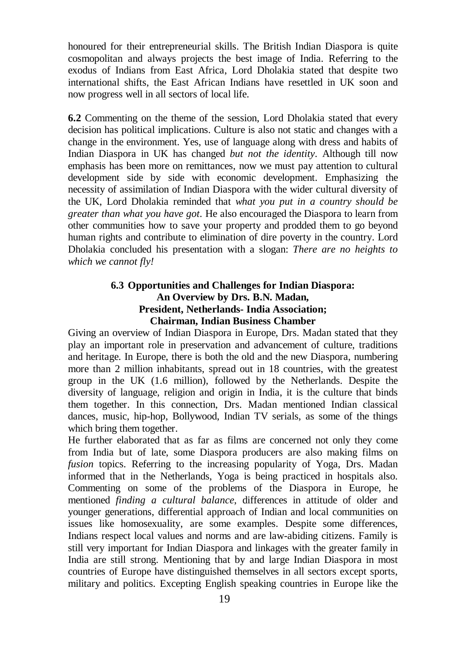honoured for their entrepreneurial skills. The British Indian Diaspora is quite cosmopolitan and always projects the best image of India. Referring to the exodus of Indians from East Africa, Lord Dholakia stated that despite two international shifts, the East African Indians have resettled in UK soon and now progress well in all sectors of local life.

**6.2** Commenting on the theme of the session, Lord Dholakia stated that every decision has political implications. Culture is also not static and changes with a change in the environment. Yes, use of language along with dress and habits of Indian Diaspora in UK has changed *but not the identity*. Although till now emphasis has been more on remittances, now we must pay attention to cultural development side by side with economic development. Emphasizing the necessity of assimilation of Indian Diaspora with the wider cultural diversity of the UK, Lord Dholakia reminded that *what you put in a country should be greater than what you have got*. He also encouraged the Diaspora to learn from other communities how to save your property and prodded them to go beyond human rights and contribute to elimination of dire poverty in the country. Lord Dholakia concluded his presentation with a slogan: *There are no heights to which we cannot fly!*

# **6.3 Opportunities and Challenges for Indian Diaspora: An Overview by Drs. B.N. Madan, President, Netherlands- India Association; Chairman, Indian Business Chamber**

Giving an overview of Indian Diaspora in Europe, Drs. Madan stated that they play an important role in preservation and advancement of culture, traditions and heritage. In Europe, there is both the old and the new Diaspora, numbering more than 2 million inhabitants, spread out in 18 countries, with the greatest group in the UK (1.6 million), followed by the Netherlands. Despite the diversity of language, religion and origin in India, it is the culture that binds them together. In this connection, Drs. Madan mentioned Indian classical dances, music, hip-hop, Bollywood, Indian TV serials, as some of the things which bring them together.

He further elaborated that as far as films are concerned not only they come from India but of late, some Diaspora producers are also making films on *fusion* topics. Referring to the increasing popularity of Yoga, Drs. Madan informed that in the Netherlands, Yoga is being practiced in hospitals also. Commenting on some of the problems of the Diaspora in Europe, he mentioned *finding a cultural balance*, differences in attitude of older and younger generations, differential approach of Indian and local communities on issues like homosexuality, are some examples. Despite some differences, Indians respect local values and norms and are law-abiding citizens. Family is still very important for Indian Diaspora and linkages with the greater family in India are still strong. Mentioning that by and large Indian Diaspora in most countries of Europe have distinguished themselves in all sectors except sports, military and politics. Excepting English speaking countries in Europe like the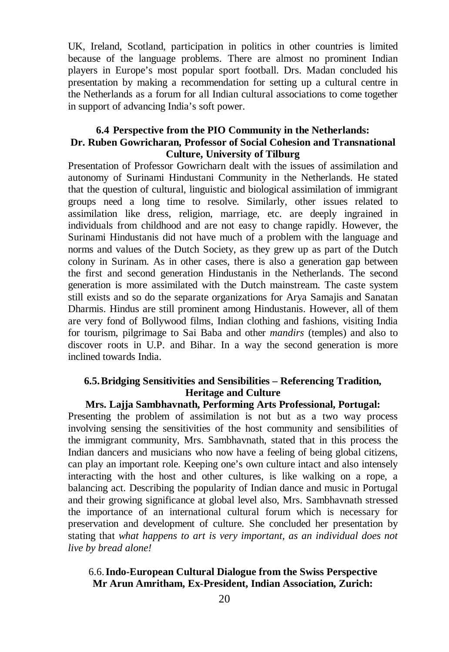UK, Ireland, Scotland, participation in politics in other countries is limited because of the language problems. There are almost no prominent Indian players in Europe's most popular sport football. Drs. Madan concluded his presentation by making a recommendation for setting up a cultural centre in the Netherlands as a forum for all Indian cultural associations to come together in support of advancing India's soft power.

# **6.4 Perspective from the PIO Community in the Netherlands: Dr. Ruben Gowricharan, Professor of Social Cohesion and Transnational Culture, University of Tilburg**

Presentation of Professor Gowricharn dealt with the issues of assimilation and autonomy of Surinami Hindustani Community in the Netherlands. He stated that the question of cultural, linguistic and biological assimilation of immigrant groups need a long time to resolve. Similarly, other issues related to assimilation like dress, religion, marriage, etc. are deeply ingrained in individuals from childhood and are not easy to change rapidly. However, the Surinami Hindustanis did not have much of a problem with the language and norms and values of the Dutch Society, as they grew up as part of the Dutch colony in Surinam. As in other cases, there is also a generation gap between the first and second generation Hindustanis in the Netherlands. The second generation is more assimilated with the Dutch mainstream. The caste system still exists and so do the separate organizations for Arya Samajis and Sanatan Dharmis. Hindus are still prominent among Hindustanis. However, all of them are very fond of Bollywood films, Indian clothing and fashions, visiting India for tourism, pilgrimage to Sai Baba and other *mandirs* (temples) and also to discover roots in U.P. and Bihar. In a way the second generation is more inclined towards India.

# **6.5.Bridging Sensitivities and Sensibilities – Referencing Tradition, Heritage and Culture**

#### **Mrs. Lajja Sambhavnath, Performing Arts Professional, Portugal:**

Presenting the problem of assimilation is not but as a two way process involving sensing the sensitivities of the host community and sensibilities of the immigrant community, Mrs. Sambhavnath, stated that in this process the Indian dancers and musicians who now have a feeling of being global citizens, can play an important role. Keeping one's own culture intact and also intensely interacting with the host and other cultures, is like walking on a rope, a balancing act. Describing the popularity of Indian dance and music in Portugal and their growing significance at global level also, Mrs. Sambhavnath stressed the importance of an international cultural forum which is necessary for preservation and development of culture. She concluded her presentation by stating that *what happens to art is very important, as an individual does not live by bread alone!*

# 6.6.**Indo-European Cultural Dialogue from the Swiss Perspective Mr Arun Amritham, Ex-President, Indian Association, Zurich:**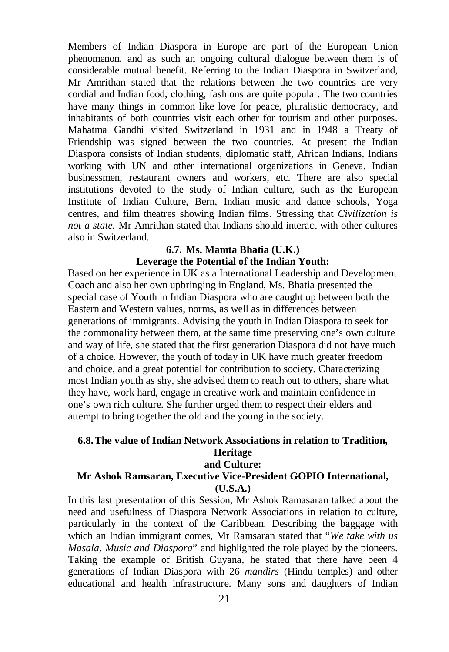Members of Indian Diaspora in Europe are part of the European Union phenomenon, and as such an ongoing cultural dialogue between them is of considerable mutual benefit. Referring to the Indian Diaspora in Switzerland, Mr Amrithan stated that the relations between the two countries are very cordial and Indian food, clothing, fashions are quite popular. The two countries have many things in common like love for peace, pluralistic democracy, and inhabitants of both countries visit each other for tourism and other purposes. Mahatma Gandhi visited Switzerland in 1931 and in 1948 a Treaty of Friendship was signed between the two countries. At present the Indian Diaspora consists of Indian students, diplomatic staff, African Indians, Indians working with UN and other international organizations in Geneva, Indian businessmen, restaurant owners and workers, etc. There are also special institutions devoted to the study of Indian culture, such as the European Institute of Indian Culture, Bern, Indian music and dance schools, Yoga centres, and film theatres showing Indian films. Stressing that *Civilization is not a state.* Mr Amrithan stated that Indians should interact with other cultures also in Switzerland.

# **6.7. Ms. Mamta Bhatia (U.K.)**

#### **Leverage the Potential of the Indian Youth:**

Based on her experience in UK as a International Leadership and Development Coach and also her own upbringing in England, Ms. Bhatia presented the special case of Youth in Indian Diaspora who are caught up between both the Eastern and Western values, norms, as well as in differences between generations of immigrants. Advising the youth in Indian Diaspora to seek for the commonality between them, at the same time preserving one's own culture and way of life, she stated that the first generation Diaspora did not have much of a choice. However, the youth of today in UK have much greater freedom and choice, and a great potential for contribution to society. Characterizing most Indian youth as shy, she advised them to reach out to others, share what they have, work hard, engage in creative work and maintain confidence in one's own rich culture. She further urged them to respect their elders and attempt to bring together the old and the young in the society.

# **6.8.The value of Indian Network Associations in relation to Tradition, Heritage and Culture:**

# **Mr Ashok Ramsaran, Executive Vice-President GOPIO International, (U.S.A.)**

In this last presentation of this Session, Mr Ashok Ramasaran talked about the need and usefulness of Diaspora Network Associations in relation to culture, particularly in the context of the Caribbean. Describing the baggage with which an Indian immigrant comes, Mr Ramsaran stated that "*We take with us Masala, Music and Diaspora*" and highlighted the role played by the pioneers. Taking the example of British Guyana, he stated that there have been 4 generations of Indian Diaspora with 26 *mandirs* (Hindu temples) and other educational and health infrastructure. Many sons and daughters of Indian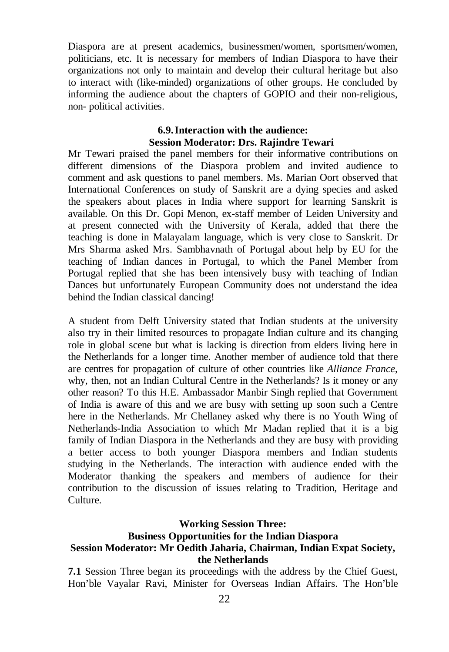Diaspora are at present academics, businessmen/women, sportsmen/women, politicians, etc. It is necessary for members of Indian Diaspora to have their organizations not only to maintain and develop their cultural heritage but also to interact with (like-minded) organizations of other groups. He concluded by informing the audience about the chapters of GOPIO and their non-religious, non- political activities.

# **6.9.Interaction with the audience: Session Moderator: Drs. Rajindre Tewari**

Mr Tewari praised the panel members for their informative contributions on different dimensions of the Diaspora problem and invited audience to comment and ask questions to panel members. Ms. Marian Oort observed that International Conferences on study of Sanskrit are a dying species and asked the speakers about places in India where support for learning Sanskrit is available. On this Dr. Gopi Menon, ex-staff member of Leiden University and at present connected with the University of Kerala, added that there the teaching is done in Malayalam language, which is very close to Sanskrit. Dr Mrs Sharma asked Mrs. Sambhavnath of Portugal about help by EU for the teaching of Indian dances in Portugal, to which the Panel Member from Portugal replied that she has been intensively busy with teaching of Indian Dances but unfortunately European Community does not understand the idea behind the Indian classical dancing!

A student from Delft University stated that Indian students at the university also try in their limited resources to propagate Indian culture and its changing role in global scene but what is lacking is direction from elders living here in the Netherlands for a longer time. Another member of audience told that there are centres for propagation of culture of other countries like *Alliance France*, why, then, not an Indian Cultural Centre in the Netherlands? Is it money or any other reason? To this H.E. Ambassador Manbir Singh replied that Government of India is aware of this and we are busy with setting up soon such a Centre here in the Netherlands. Mr Chellaney asked why there is no Youth Wing of Netherlands-India Association to which Mr Madan replied that it is a big family of Indian Diaspora in the Netherlands and they are busy with providing a better access to both younger Diaspora members and Indian students studying in the Netherlands. The interaction with audience ended with the Moderator thanking the speakers and members of audience for their contribution to the discussion of issues relating to Tradition, Heritage and Culture.

#### **Working Session Three:**

# **Business Opportunities for the Indian Diaspora**

# **Session Moderator: Mr Oedith Jaharia, Chairman, Indian Expat Society, the Netherlands**

**7.1** Session Three began its proceedings with the address by the Chief Guest, Hon'ble Vayalar Ravi, Minister for Overseas Indian Affairs. The Hon'ble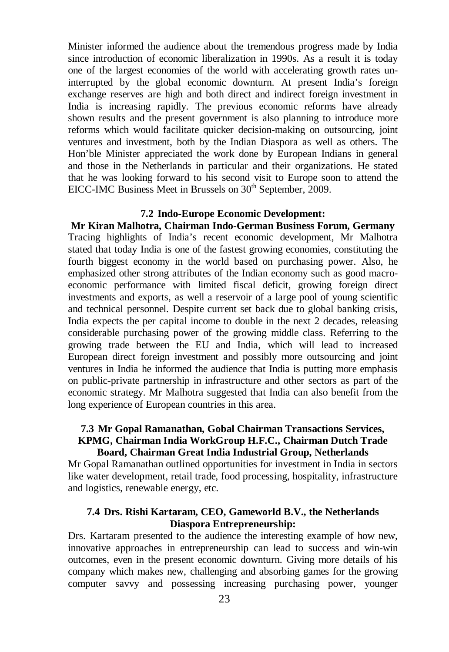Minister informed the audience about the tremendous progress made by India since introduction of economic liberalization in 1990s. As a result it is today one of the largest economies of the world with accelerating growth rates uninterrupted by the global economic downturn. At present India's foreign exchange reserves are high and both direct and indirect foreign investment in India is increasing rapidly. The previous economic reforms have already shown results and the present government is also planning to introduce more reforms which would facilitate quicker decision-making on outsourcing, joint ventures and investment, both by the Indian Diaspora as well as others. The Hon'ble Minister appreciated the work done by European Indians in general and those in the Netherlands in particular and their organizations. He stated that he was looking forward to his second visit to Europe soon to attend the EICC-IMC Business Meet in Brussels on 30<sup>th</sup> September, 2009.

#### **7.2 Indo-Europe Economic Development:**

**Mr Kiran Malhotra, Chairman Indo-German Business Forum, Germany** Tracing highlights of India's recent economic development, Mr Malhotra stated that today India is one of the fastest growing economies, constituting the fourth biggest economy in the world based on purchasing power. Also, he emphasized other strong attributes of the Indian economy such as good macroeconomic performance with limited fiscal deficit, growing foreign direct investments and exports, as well a reservoir of a large pool of young scientific and technical personnel. Despite current set back due to global banking crisis, India expects the per capital income to double in the next 2 decades, releasing considerable purchasing power of the growing middle class. Referring to the growing trade between the EU and India, which will lead to increased European direct foreign investment and possibly more outsourcing and joint ventures in India he informed the audience that India is putting more emphasis on public-private partnership in infrastructure and other sectors as part of the economic strategy. Mr Malhotra suggested that India can also benefit from the long experience of European countries in this area.

### **7.3 Mr Gopal Ramanathan, Gobal Chairman Transactions Services, KPMG, Chairman India WorkGroup H.F.C., Chairman Dutch Trade Board, Chairman Great India Industrial Group, Netherlands**

Mr Gopal Ramanathan outlined opportunities for investment in India in sectors like water development, retail trade, food processing, hospitality, infrastructure and logistics, renewable energy, etc.

## **7.4 Drs. Rishi Kartaram, CEO, Gameworld B.V., the Netherlands Diaspora Entrepreneurship:**

Drs. Kartaram presented to the audience the interesting example of how new, innovative approaches in entrepreneurship can lead to success and win-win outcomes, even in the present economic downturn. Giving more details of his company which makes new, challenging and absorbing games for the growing computer savvy and possessing increasing purchasing power, younger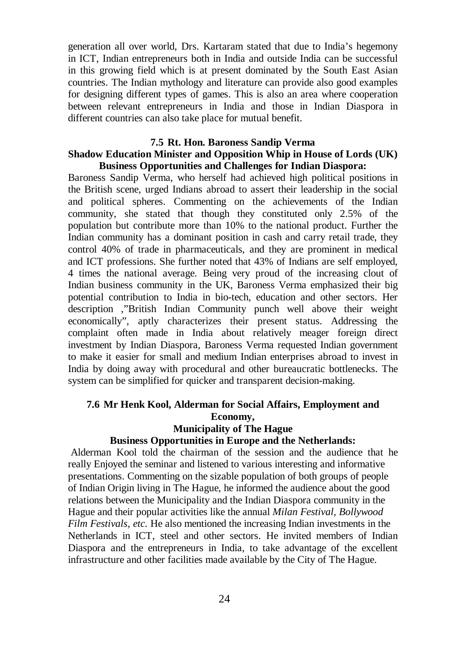generation all over world, Drs. Kartaram stated that due to India's hegemony in ICT, Indian entrepreneurs both in India and outside India can be successful in this growing field which is at present dominated by the South East Asian countries. The Indian mythology and literature can provide also good examples for designing different types of games. This is also an area where cooperation between relevant entrepreneurs in India and those in Indian Diaspora in different countries can also take place for mutual benefit.

#### **7.5 Rt. Hon. Baroness Sandip Verma**

## **Shadow Education Minister and Opposition Whip in House of Lords (UK) Business Opportunities and Challenges for Indian Diaspora:**

Baroness Sandip Verma, who herself had achieved high political positions in the British scene, urged Indians abroad to assert their leadership in the social and political spheres. Commenting on the achievements of the Indian community, she stated that though they constituted only 2.5% of the population but contribute more than 10% to the national product. Further the Indian community has a dominant position in cash and carry retail trade, they control 40% of trade in pharmaceuticals, and they are prominent in medical and ICT professions. She further noted that 43% of Indians are self employed, 4 times the national average. Being very proud of the increasing clout of Indian business community in the UK, Baroness Verma emphasized their big potential contribution to India in bio-tech, education and other sectors. Her description ,"British Indian Community punch well above their weight economically", aptly characterizes their present status. Addressing the complaint often made in India about relatively meager foreign direct investment by Indian Diaspora, Baroness Verma requested Indian government to make it easier for small and medium Indian enterprises abroad to invest in India by doing away with procedural and other bureaucratic bottlenecks. The system can be simplified for quicker and transparent decision-making.

#### **7.6 Mr Henk Kool, Alderman for Social Affairs, Employment and Economy, Municipality of The Hague**

#### **Business Opportunities in Europe and the Netherlands:**

Alderman Kool told the chairman of the session and the audience that he really Enjoyed the seminar and listened to various interesting and informative presentations. Commenting on the sizable population of both groups of people of Indian Origin living in The Hague, he informed the audience about the good relations between the Municipality and the Indian Diaspora community in the Hague and their popular activities like the annual *Milan Festival, Bollywood Film Festivals, etc.* He also mentioned the increasing Indian investments in the Netherlands in ICT, steel and other sectors. He invited members of Indian Diaspora and the entrepreneurs in India, to take advantage of the excellent infrastructure and other facilities made available by the City of The Hague.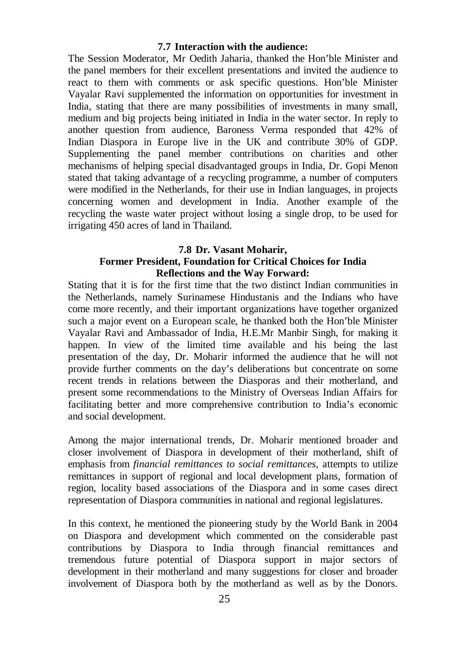## **7.7 Interaction with the audience:**

The Session Moderator, Mr Oedith Jaharia, thanked the Hon'ble Minister and the panel members for their excellent presentations and invited the audience to react to them with comments or ask specific questions. Hon'ble Minister Vayalar Ravi supplemented the information on opportunities for investment in India, stating that there are many possibilities of investments in many small, medium and big projects being initiated in India in the water sector. In reply to another question from audience, Baroness Verma responded that 42% of Indian Diaspora in Europe live in the UK and contribute 30% of GDP. Supplementing the panel member contributions on charities and other mechanisms of helping special disadvantaged groups in India, Dr. Gopi Menon stated that taking advantage of a recycling programme, a number of computers were modified in the Netherlands, for their use in Indian languages, in projects concerning women and development in India. Another example of the recycling the waste water project without losing a single drop, to be used for irrigating 450 acres of land in Thailand.

## **7.8 Dr. Vasant Moharir,**

# **Former President, Foundation for Critical Choices for India Reflections and the Way Forward:**

Stating that it is for the first time that the two distinct Indian communities in the Netherlands, namely Surinamese Hindustanis and the Indians who have come more recently, and their important organizations have together organized such a major event on a European scale, he thanked both the Hon'ble Minister Vayalar Ravi and Ambassador of India, H.E.Mr Manbir Singh, for making it happen. In view of the limited time available and his being the last presentation of the day, Dr. Moharir informed the audience that he will not provide further comments on the day's deliberations but concentrate on some recent trends in relations between the Diasporas and their motherland, and present some recommendations to the Ministry of Overseas Indian Affairs for facilitating better and more comprehensive contribution to India's economic and social development.

Among the major international trends, Dr. Moharir mentioned broader and closer involvement of Diaspora in development of their motherland, shift of emphasis from *financial remittances to social remittances,* attempts to utilize remittances in support of regional and local development plans, formation of region, locality based associations of the Diaspora and in some cases direct representation of Diaspora communities in national and regional legislatures.

In this context, he mentioned the pioneering study by the World Bank in 2004 on Diaspora and development which commented on the considerable past contributions by Diaspora to India through financial remittances and tremendous future potential of Diaspora support in major sectors of development in their motherland and many suggestions for closer and broader involvement of Diaspora both by the motherland as well as by the Donors.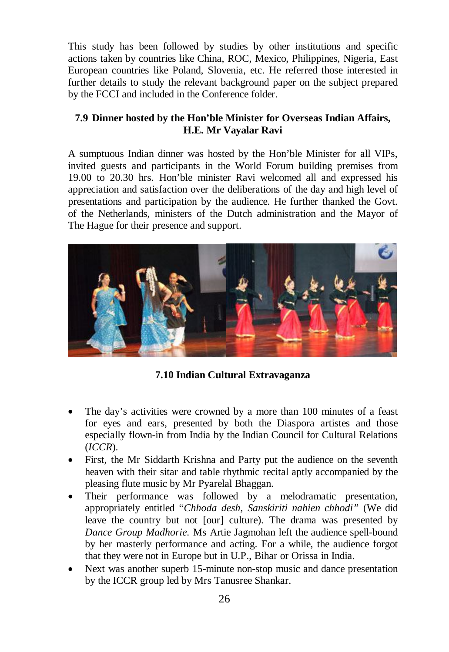This study has been followed by studies by other institutions and specific actions taken by countries like China, ROC, Mexico, Philippines, Nigeria, East European countries like Poland, Slovenia, etc. He referred those interested in further details to study the relevant background paper on the subject prepared by the FCCI and included in the Conference folder.

# **7.9 Dinner hosted by the Hon'ble Minister for Overseas Indian Affairs, H.E. Mr Vayalar Ravi**

A sumptuous Indian dinner was hosted by the Hon'ble Minister for all VIPs, invited guests and participants in the World Forum building premises from 19.00 to 20.30 hrs. Hon'ble minister Ravi welcomed all and expressed his appreciation and satisfaction over the deliberations of the day and high level of presentations and participation by the audience. He further thanked the Govt. of the Netherlands, ministers of the Dutch administration and the Mayor of The Hague for their presence and support.



**7.10 Indian Cultural Extravaganza**

- The day's activities were crowned by a more than 100 minutes of a feast for eyes and ears, presented by both the Diaspora artistes and those especially flown-in from India by the Indian Council for Cultural Relations (*ICCR*).
- First, the Mr Siddarth Krishna and Party put the audience on the seventh heaven with their sitar and table rhythmic recital aptly accompanied by the pleasing flute music by Mr Pyarelal Bhaggan.
- Their performance was followed by a melodramatic presentation, appropriately entitled "*Chhoda desh, Sanskiriti nahien chhodi"* (We did leave the country but not [our] culture). The drama was presented by *Dance Group Madhorie.* Ms Artie Jagmohan left the audience spell-bound by her masterly performance and acting. For a while, the audience forgot that they were not in Europe but in U.P., Bihar or Orissa in India.
- Next was another superb 15-minute non-stop music and dance presentation by the ICCR group led by Mrs Tanusree Shankar.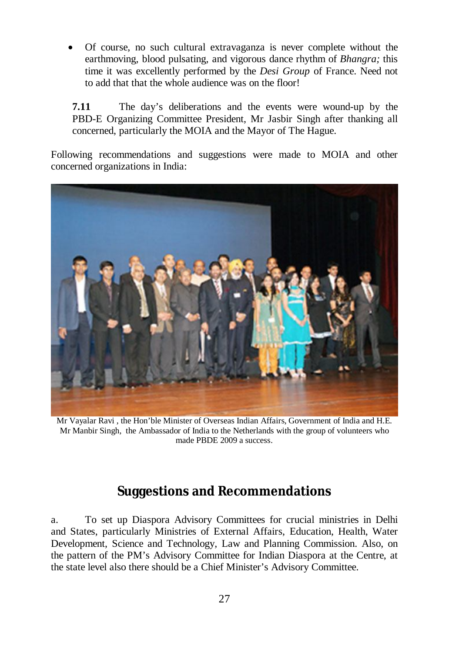Of course, no such cultural extravaganza is never complete without the earthmoving, blood pulsating, and vigorous dance rhythm of *Bhangra;* this time it was excellently performed by the *Desi Group* of France. Need not to add that that the whole audience was on the floor!

**7.11** The day's deliberations and the events were wound-up by the PBD-E Organizing Committee President, Mr Jasbir Singh after thanking all concerned, particularly the MOIA and the Mayor of The Hague.

Following recommendations and suggestions were made to MOIA and other concerned organizations in India:



Mr Vayalar Ravi , the Hon'ble Minister of Overseas Indian Affairs, Government of India and H.E. Mr Manbir Singh, the Ambassador of India to the Netherlands with the group of volunteers who made PBDE 2009 a success.

# **Suggestions and Recommendations**

a. To set up Diaspora Advisory Committees for crucial ministries in Delhi and States, particularly Ministries of External Affairs, Education, Health, Water Development, Science and Technology, Law and Planning Commission. Also, on the pattern of the PM's Advisory Committee for Indian Diaspora at the Centre, at the state level also there should be a Chief Minister's Advisory Committee.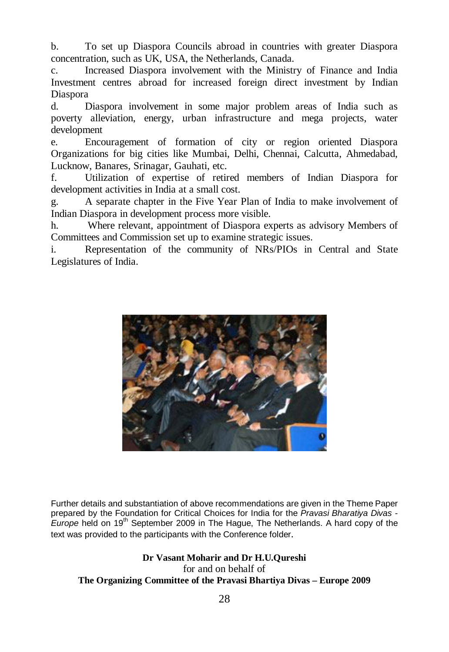b. To set up Diaspora Councils abroad in countries with greater Diaspora concentration, such as UK, USA, the Netherlands, Canada.

c. Increased Diaspora involvement with the Ministry of Finance and India Investment centres abroad for increased foreign direct investment by Indian Diaspora

d. Diaspora involvement in some major problem areas of India such as poverty alleviation, energy, urban infrastructure and mega projects, water development

e. Encouragement of formation of city or region oriented Diaspora Organizations for big cities like Mumbai, Delhi, Chennai, Calcutta, Ahmedabad, Lucknow, Banares, Srinagar, Gauhati, etc.

f. Utilization of expertise of retired members of Indian Diaspora for development activities in India at a small cost.

g. A separate chapter in the Five Year Plan of India to make involvement of Indian Diaspora in development process more visible.

h. Where relevant, appointment of Diaspora experts as advisory Members of Committees and Commission set up to examine strategic issues.

i. Representation of the community of NRs/PIOs in Central and State Legislatures of India.



Further details and substantiation of above recommendations are given in the Theme Paper prepared by the Foundation for Critical Choices for India for the *Pravasi Bharatiya Divas - Europe* held on 19th September 2009 in The Hague, The Netherlands. A hard copy of the text was provided to the participants with the Conference folder.

**Dr Vasant Moharir and Dr H.U.Qureshi** for and on behalf of **The Organizing Committee of the Pravasi Bhartiya Divas – Europe 2009**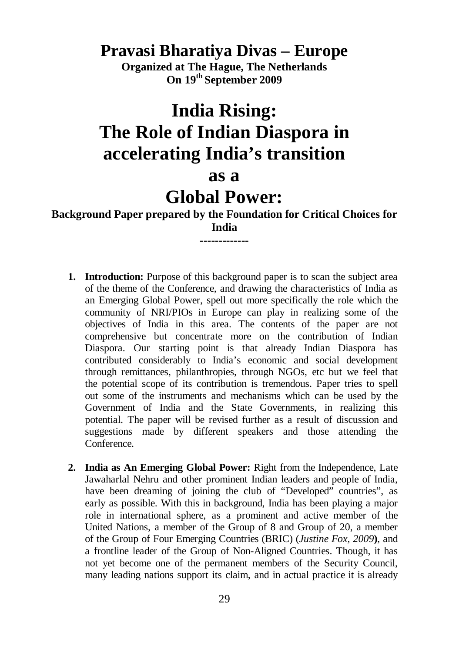# **Pravasi Bharatiya Divas – Europe**

**Organized at The Hague, The Netherlands On 19th September 2009**

# **India Rising: The Role of Indian Diaspora in accelerating India's transition**

# **as a**

# **Global Power:**

**Background Paper prepared by the Foundation for Critical Choices for India -------------**

- **1. Introduction:** Purpose of this background paper is to scan the subject area of the theme of the Conference, and drawing the characteristics of India as an Emerging Global Power, spell out more specifically the role which the community of NRI/PIOs in Europe can play in realizing some of the objectives of India in this area. The contents of the paper are not comprehensive but concentrate more on the contribution of Indian Diaspora. Our starting point is that already Indian Diaspora has contributed considerably to India's economic and social development through remittances, philanthropies, through NGOs, etc but we feel that the potential scope of its contribution is tremendous. Paper tries to spell out some of the instruments and mechanisms which can be used by the Government of India and the State Governments, in realizing this potential. The paper will be revised further as a result of discussion and suggestions made by different speakers and those attending the Conference.
- **2. India as An Emerging Global Power:** Right from the Independence, Late Jawaharlal Nehru and other prominent Indian leaders and people of India, have been dreaming of joining the club of "Developed" countries", as early as possible. With this in background, India has been playing a major role in international sphere, as a prominent and active member of the United Nations, a member of the Group of 8 and Group of 20, a member of the Group of Four Emerging Countries (BRIC) (*Justine Fox, 2009***)**, and a frontline leader of the Group of Non-Aligned Countries. Though, it has not yet become one of the permanent members of the Security Council, many leading nations support its claim, and in actual practice it is already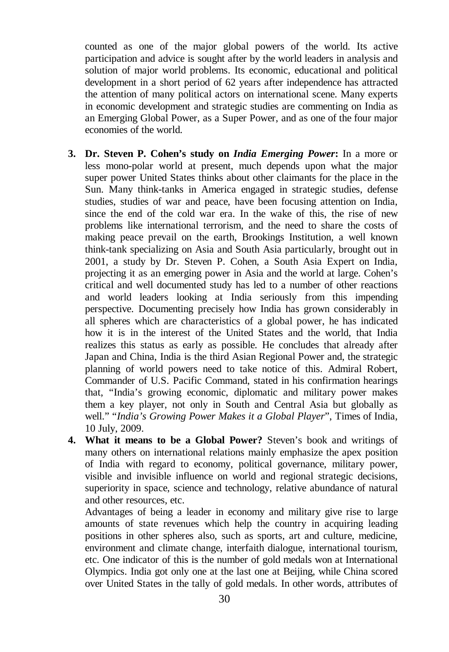counted as one of the major global powers of the world. Its active participation and advice is sought after by the world leaders in analysis and solution of major world problems. Its economic, educational and political development in a short period of 62 years after independence has attracted the attention of many political actors on international scene. Many experts in economic development and strategic studies are commenting on India as an Emerging Global Power, as a Super Power, and as one of the four major economies of the world.

- **3. Dr. Steven P. Cohen's study on** *India Emerging Power***:** In a more or less mono-polar world at present, much depends upon what the major super power United States thinks about other claimants for the place in the Sun. Many think-tanks in America engaged in strategic studies, defense studies, studies of war and peace, have been focusing attention on India, since the end of the cold war era. In the wake of this, the rise of new problems like international terrorism, and the need to share the costs of making peace prevail on the earth, Brookings Institution, a well known think-tank specializing on Asia and South Asia particularly, brought out in 2001, a study by Dr. Steven P. Cohen, a South Asia Expert on India, projecting it as an emerging power in Asia and the world at large. Cohen's critical and well documented study has led to a number of other reactions and world leaders looking at India seriously from this impending perspective. Documenting precisely how India has grown considerably in all spheres which are characteristics of a global power, he has indicated how it is in the interest of the United States and the world, that India realizes this status as early as possible. He concludes that already after Japan and China, India is the third Asian Regional Power and, the strategic planning of world powers need to take notice of this. Admiral Robert, Commander of U.S. Pacific Command, stated in his confirmation hearings that, "India's growing economic, diplomatic and military power makes them a key player, not only in South and Central Asia but globally as well." "*India's Growing Power Makes it a Global Player*", Times of India, 10 July, 2009.
- **4. What it means to be a Global Power?** Steven's book and writings of many others on international relations mainly emphasize the apex position of India with regard to economy, political governance, military power, visible and invisible influence on world and regional strategic decisions, superiority in space, science and technology, relative abundance of natural and other resources, etc.

Advantages of being a leader in economy and military give rise to large amounts of state revenues which help the country in acquiring leading positions in other spheres also, such as sports, art and culture, medicine, environment and climate change, interfaith dialogue, international tourism, etc. One indicator of this is the number of gold medals won at International Olympics. India got only one at the last one at Beijing, while China scored over United States in the tally of gold medals. In other words, attributes of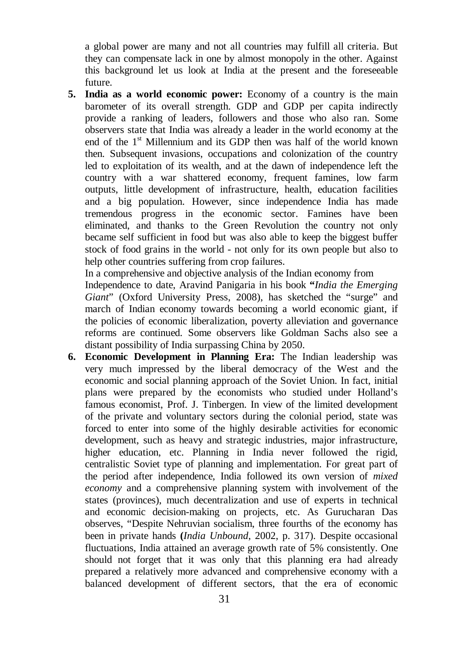a global power are many and not all countries may fulfill all criteria. But they can compensate lack in one by almost monopoly in the other. Against this background let us look at India at the present and the foreseeable future.

**5. India as a world economic power:** Economy of a country is the main barometer of its overall strength. GDP and GDP per capita indirectly provide a ranking of leaders, followers and those who also ran. Some observers state that India was already a leader in the world economy at the end of the  $1<sup>st</sup>$  Millennium and its GDP then was half of the world known then. Subsequent invasions, occupations and colonization of the country led to exploitation of its wealth, and at the dawn of independence left the country with a war shattered economy, frequent famines, low farm outputs, little development of infrastructure, health, education facilities and a big population. However, since independence India has made tremendous progress in the economic sector. Famines have been eliminated, and thanks to the Green Revolution the country not only became self sufficient in food but was also able to keep the biggest buffer stock of food grains in the world - not only for its own people but also to help other countries suffering from crop failures.

In a comprehensive and objective analysis of the Indian economy from

Independence to date, Aravind Panigaria in his book **"***India the Emerging Giant*" (Oxford University Press, 2008), has sketched the "surge" and march of Indian economy towards becoming a world economic giant, if the policies of economic liberalization, poverty alleviation and governance reforms are continued. Some observers like Goldman Sachs also see a distant possibility of India surpassing China by 2050.

**6. Economic Development in Planning Era:** The Indian leadership was very much impressed by the liberal democracy of the West and the economic and social planning approach of the Soviet Union. In fact, initial plans were prepared by the economists who studied under Holland's famous economist, Prof. J. Tinbergen. In view of the limited development of the private and voluntary sectors during the colonial period, state was forced to enter into some of the highly desirable activities for economic development, such as heavy and strategic industries, major infrastructure, higher education, etc. Planning in India never followed the rigid, centralistic Soviet type of planning and implementation. For great part of the period after independence, India followed its own version of *mixed economy* and a comprehensive planning system with involvement of the states (provinces), much decentralization and use of experts in technical and economic decision-making on projects, etc. As Gurucharan Das observes, "Despite Nehruvian socialism, three fourths of the economy has been in private hands **(***India Unbound*, 2002, p. 317). Despite occasional fluctuations, India attained an average growth rate of 5% consistently. One should not forget that it was only that this planning era had already prepared a relatively more advanced and comprehensive economy with a balanced development of different sectors, that the era of economic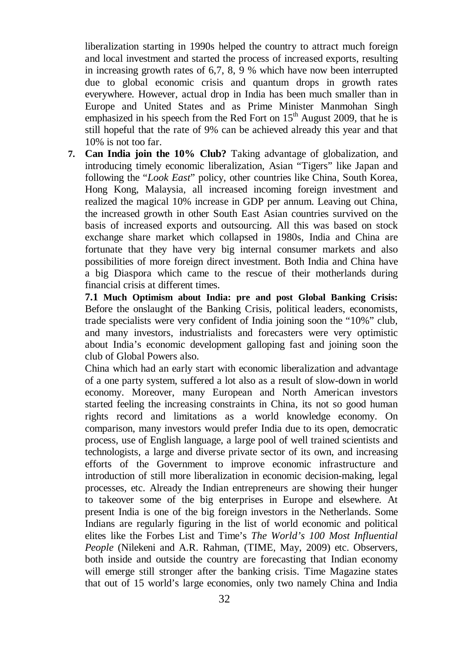liberalization starting in 1990s helped the country to attract much foreign and local investment and started the process of increased exports, resulting in increasing growth rates of 6,7, 8, 9 % which have now been interrupted due to global economic crisis and quantum drops in growth rates everywhere. However, actual drop in India has been much smaller than in Europe and United States and as Prime Minister Manmohan Singh emphasized in his speech from the Red Fort on  $15<sup>th</sup>$  August 2009, that he is still hopeful that the rate of 9% can be achieved already this year and that 10% is not too far.

**7. Can India join the 10% Club?** Taking advantage of globalization, and introducing timely economic liberalization, Asian "Tigers" like Japan and following the "*Look East*" policy, other countries like China, South Korea, Hong Kong, Malaysia, all increased incoming foreign investment and realized the magical 10% increase in GDP per annum. Leaving out China, the increased growth in other South East Asian countries survived on the basis of increased exports and outsourcing. All this was based on stock exchange share market which collapsed in 1980s, India and China are fortunate that they have very big internal consumer markets and also possibilities of more foreign direct investment. Both India and China have a big Diaspora which came to the rescue of their motherlands during financial crisis at different times.

**7.1 Much Optimism about India: pre and post Global Banking Crisis:** Before the onslaught of the Banking Crisis, political leaders, economists, trade specialists were very confident of India joining soon the "10%" club, and many investors, industrialists and forecasters were very optimistic about India's economic development galloping fast and joining soon the club of Global Powers also.

China which had an early start with economic liberalization and advantage of a one party system, suffered a lot also as a result of slow-down in world economy. Moreover, many European and North American investors started feeling the increasing constraints in China, its not so good human rights record and limitations as a world knowledge economy. On comparison, many investors would prefer India due to its open, democratic process, use of English language, a large pool of well trained scientists and technologists, a large and diverse private sector of its own, and increasing efforts of the Government to improve economic infrastructure and introduction of still more liberalization in economic decision-making, legal processes, etc. Already the Indian entrepreneurs are showing their hunger to takeover some of the big enterprises in Europe and elsewhere. At present India is one of the big foreign investors in the Netherlands. Some Indians are regularly figuring in the list of world economic and political elites like the Forbes List and Time's *The World's 100 Most Influential People* (Nilekeni and A.R. Rahman, (TIME, May, 2009) etc. Observers, both inside and outside the country are forecasting that Indian economy will emerge still stronger after the banking crisis. Time Magazine states that out of 15 world's large economies, only two namely China and India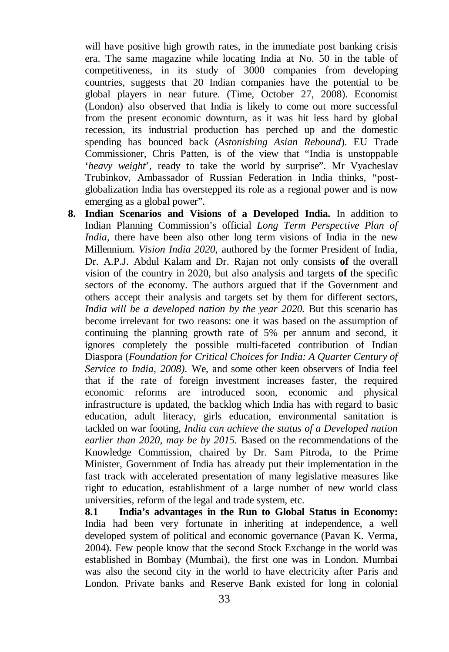will have positive high growth rates, in the immediate post banking crisis era. The same magazine while locating India at No. 50 in the table of competitiveness, in its study of 3000 companies from developing countries, suggests that 20 Indian companies have the potential to be global players in near future. (Time, October 27, 2008). Economist (London) also observed that India is likely to come out more successful from the present economic downturn, as it was hit less hard by global recession, its industrial production has perched up and the domestic spending has bounced back (*Astonishing Asian Rebound*). EU Trade Commissioner, Chris Patten, is of the view that "India is unstoppable '*heavy weight*', ready to take the world by surprise". Mr Vyacheslav Trubinkov, Ambassador of Russian Federation in India thinks, "postglobalization India has overstepped its role as a regional power and is now emerging as a global power".

**8. Indian Scenarios and Visions of a Developed India.** In addition to Indian Planning Commission's official *Long Term Perspective Plan of India*, there have been also other long term visions of India in the new Millennium. *Vision India 2020,* authored by the former President of India, Dr. A.P.J. Abdul Kalam and Dr. Rajan not only consists **of** the overall vision of the country in 2020, but also analysis and targets **of** the specific sectors of the economy. The authors argued that if the Government and others accept their analysis and targets set by them for different sectors, *India will be a developed nation by the year 2020.* But this scenario has become irrelevant for two reasons: one it was based on the assumption of continuing the planning growth rate of 5% per annum and second, it ignores completely the possible multi-faceted contribution of Indian Diaspora (*Foundation for Critical Choices for India: A Quarter Century of Service to India, 2008).* We, and some other keen observers of India feel that if the rate of foreign investment increases faster, the required economic reforms are introduced soon, economic and physical infrastructure is updated, the backlog which India has with regard to basic education, adult literacy, girls education, environmental sanitation is tackled on war footing, *India can achieve the status of a Developed nation earlier than 2020, may be by 2015.* Based on the recommendations of the Knowledge Commission, chaired by Dr. Sam Pitroda, to the Prime Minister, Government of India has already put their implementation in the fast track with accelerated presentation of many legislative measures like right to education, establishment of a large number of new world class universities, reform of the legal and trade system, etc.

**8.1 India's advantages in the Run to Global Status in Economy:**  India had been very fortunate in inheriting at independence, a well developed system of political and economic governance (Pavan K. Verma, 2004). Few people know that the second Stock Exchange in the world was established in Bombay (Mumbai), the first one was in London. Mumbai was also the second city in the world to have electricity after Paris and London. Private banks and Reserve Bank existed for long in colonial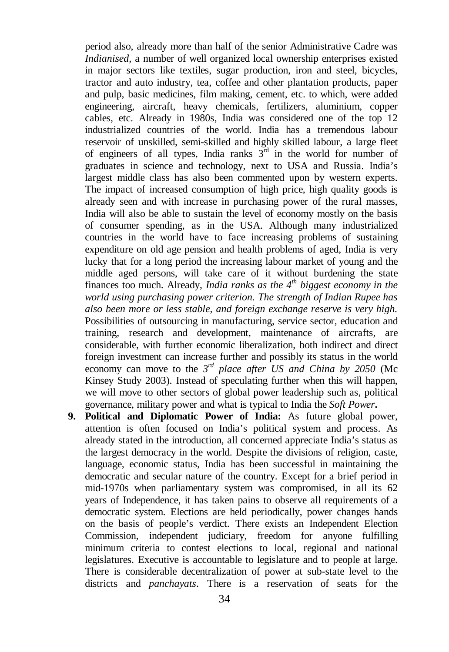period also, already more than half of the senior Administrative Cadre was *Indianised*, a number of well organized local ownership enterprises existed in major sectors like textiles, sugar production, iron and steel, bicycles, tractor and auto industry, tea, coffee and other plantation products, paper and pulp, basic medicines, film making, cement, etc. to which, were added engineering, aircraft, heavy chemicals, fertilizers, aluminium, copper cables, etc. Already in 1980s, India was considered one of the top 12 industrialized countries of the world. India has a tremendous labour reservoir of unskilled, semi-skilled and highly skilled labour, a large fleet of engineers of all types, India ranks  $3<sup>rd</sup>$  in the world for number of graduates in science and technology, next to USA and Russia. India's largest middle class has also been commented upon by western experts. The impact of increased consumption of high price, high quality goods is already seen and with increase in purchasing power of the rural masses, India will also be able to sustain the level of economy mostly on the basis of consumer spending, as in the USA. Although many industrialized countries in the world have to face increasing problems of sustaining expenditure on old age pension and health problems of aged, India is very lucky that for a long period the increasing labour market of young and the middle aged persons, will take care of it without burdening the state finances too much. Already, *India ranks as the 4th biggest economy in the world using purchasing power criterion. The strength of Indian Rupee has also been more or less stable, and foreign exchange reserve is very high.* Possibilities of outsourcing in manufacturing, service sector, education and training, research and development, maintenance of aircrafts, are considerable, with further economic liberalization, both indirect and direct foreign investment can increase further and possibly its status in the world economy can move to the  $3^{rd}$  place after US and China by 2050 (Mc Kinsey Study 2003). Instead of speculating further when this will happen, we will move to other sectors of global power leadership such as, political governance, military power and what is typical to India the *Soft Power***.**

**9. Political and Diplomatic Power of India:** As future global power, attention is often focused on India's political system and process. As already stated in the introduction, all concerned appreciate India's status as the largest democracy in the world. Despite the divisions of religion, caste, language, economic status, India has been successful in maintaining the democratic and secular nature of the country. Except for a brief period in mid-1970s when parliamentary system was compromised, in all its 62 years of Independence, it has taken pains to observe all requirements of a democratic system. Elections are held periodically, power changes hands on the basis of people's verdict. There exists an Independent Election Commission, independent judiciary, freedom for anyone fulfilling minimum criteria to contest elections to local, regional and national legislatures. Executive is accountable to legislature and to people at large. There is considerable decentralization of power at sub-state level to the districts and *panchayats*. There is a reservation of seats for the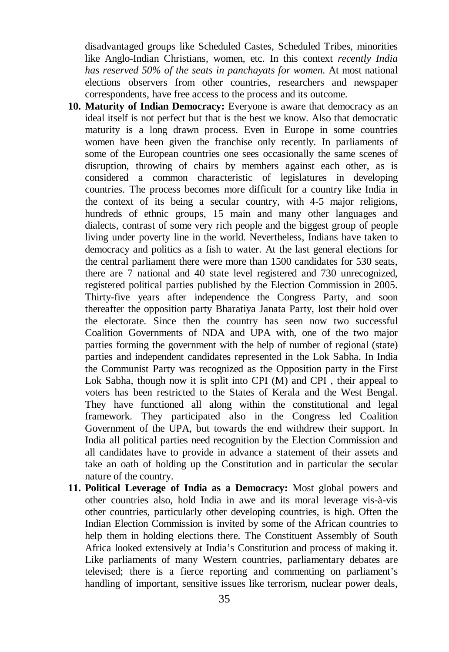disadvantaged groups like Scheduled Castes, Scheduled Tribes, minorities like Anglo-Indian Christians, women, etc. In this context *recently India has reserved 50% of the seats in panchayats for women.* At most national elections observers from other countries, researchers and newspaper correspondents, have free access to the process and its outcome.

- **10. Maturity of Indian Democracy:** Everyone is aware that democracy as an ideal itself is not perfect but that is the best we know. Also that democratic maturity is a long drawn process. Even in Europe in some countries women have been given the franchise only recently. In parliaments of some of the European countries one sees occasionally the same scenes of disruption, throwing of chairs by members against each other, as is considered a common characteristic of legislatures in developing countries. The process becomes more difficult for a country like India in the context of its being a secular country, with 4-5 major religions, hundreds of ethnic groups, 15 main and many other languages and dialects, contrast of some very rich people and the biggest group of people living under poverty line in the world. Nevertheless, Indians have taken to democracy and politics as a fish to water. At the last general elections for the central parliament there were more than 1500 candidates for 530 seats, there are 7 national and 40 state level registered and 730 unrecognized, registered political parties published by the Election Commission in 2005. Thirty-five years after independence the Congress Party, and soon thereafter the opposition party Bharatiya Janata Party, lost their hold over the electorate. Since then the country has seen now two successful Coalition Governments of NDA and UPA with, one of the two major parties forming the government with the help of number of regional (state) parties and independent candidates represented in the Lok Sabha. In India the Communist Party was recognized as the Opposition party in the First Lok Sabha, though now it is split into CPI (M) and CPI , their appeal to voters has been restricted to the States of Kerala and the West Bengal. They have functioned all along within the constitutional and legal framework. They participated also in the Congress led Coalition Government of the UPA, but towards the end withdrew their support. In India all political parties need recognition by the Election Commission and all candidates have to provide in advance a statement of their assets and take an oath of holding up the Constitution and in particular the secular nature of the country.
- **11. Political Leverage of India as a Democracy:** Most global powers and other countries also, hold India in awe and its moral leverage vis-à-vis other countries, particularly other developing countries, is high. Often the Indian Election Commission is invited by some of the African countries to help them in holding elections there. The Constituent Assembly of South Africa looked extensively at India's Constitution and process of making it. Like parliaments of many Western countries, parliamentary debates are televised; there is a fierce reporting and commenting on parliament's handling of important, sensitive issues like terrorism, nuclear power deals,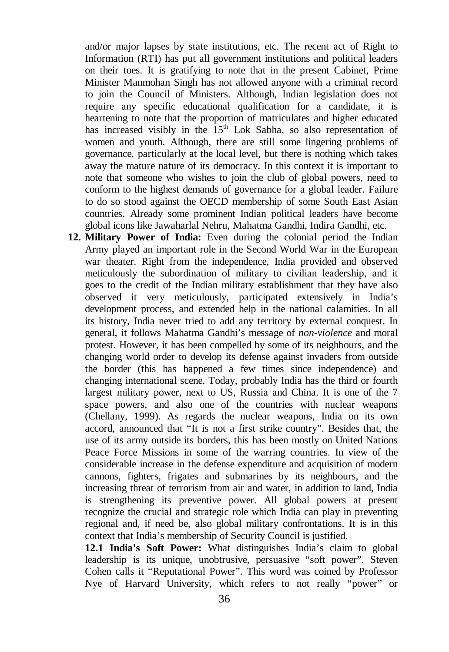and/or major lapses by state institutions, etc. The recent act of Right to Information (RTI) has put all government institutions and political leaders on their toes. It is gratifying to note that in the present Cabinet, Prime Minister Manmohan Singh has not allowed anyone with a criminal record to join the Council of Ministers. Although, Indian legislation does not require any specific educational qualification for a candidate, it is heartening to note that the proportion of matriculates and higher educated has increased visibly in the 15<sup>th</sup> Lok Sabha, so also representation of women and youth. Although, there are still some lingering problems of governance, particularly at the local level, but there is nothing which takes away the mature nature of its democracy. In this context it is important to note that someone who wishes to join the club of global powers, need to conform to the highest demands of governance for a global leader. Failure to do so stood against the OECD membership of some South East Asian countries. Already some prominent Indian political leaders have become global icons like Jawaharlal Nehru, Mahatma Gandhi, Indira Gandhi, etc.

**12. Military Power of India:** Even during the colonial period the Indian Army played an important role in the Second World War in the European war theater. Right from the independence, India provided and observed meticulously the subordination of military to civilian leadership, and it goes to the credit of the Indian military establishment that they have also observed it very meticulously, participated extensively in India's development process, and extended help in the national calamities. In all its history, India never tried to add any territory by external conquest. In general, it follows Mahatma Gandhi's message of *non-violence* and moral protest. However, it has been compelled by some of its neighbours, and the changing world order to develop its defense against invaders from outside the border (this has happened a few times since independence) and changing international scene. Today, probably India has the third or fourth largest military power, next to US, Russia and China. It is one of the 7 space powers, and also one of the countries with nuclear weapons (Chellany, 1999). As regards the nuclear weapons, India on its own accord, announced that "It is not a first strike country". Besides that, the use of its army outside its borders, this has been mostly on United Nations Peace Force Missions in some of the warring countries. In view of the considerable increase in the defense expenditure and acquisition of modern cannons, fighters, frigates and submarines by its neighbours, and the increasing threat of terrorism from air and water, in addition to land, India is strengthening its preventive power. All global powers at present recognize the crucial and strategic role which India can play in preventing regional and, if need be, also global military confrontations. It is in this context that India's membership of Security Council is justified.

**12.1 India's Soft Power:** What distinguishes India's claim to global leadership is its unique, unobtrusive, persuasive "soft power". Steven Cohen calls it "Reputational Power". This word was coined by Professor Nye of Harvard University, which refers to not really "power" or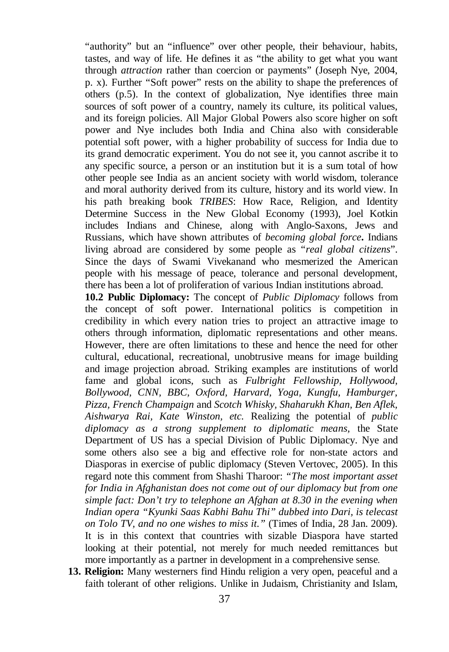"authority" but an "influence" over other people, their behaviour, habits, tastes, and way of life. He defines it as "the ability to get what you want through *attraction* rather than coercion or payments" (Joseph Nye, 2004, p. x). Further "Soft power" rests on the ability to shape the preferences of others (p.5). In the context of globalization, Nye identifies three main sources of soft power of a country, namely its culture, its political values, and its foreign policies. All Major Global Powers also score higher on soft power and Nye includes both India and China also with considerable potential soft power, with a higher probability of success for India due to its grand democratic experiment. You do not see it, you cannot ascribe it to any specific source, a person or an institution but it is a sum total of how other people see India as an ancient society with world wisdom, tolerance and moral authority derived from its culture, history and its world view. In his path breaking book *TRIBES*: How Race, Religion, and Identity Determine Success in the New Global Economy (1993), Joel Kotkin includes Indians and Chinese, along with Anglo-Saxons, Jews and Russians, which have shown attributes of *becoming global force***.** Indians living abroad are considered by some people as "*real global citizens*". Since the days of Swami Vivekanand who mesmerized the American people with his message of peace, tolerance and personal development, there has been a lot of proliferation of various Indian institutions abroad.

**10.2 Public Diplomacy:** The concept of *Public Diplomacy* follows from the concept of soft power. International politics is competition in credibility in which every nation tries to project an attractive image to others through information, diplomatic representations and other means. However, there are often limitations to these and hence the need for other cultural, educational, recreational, unobtrusive means for image building and image projection abroad. Striking examples are institutions of world fame and global icons, such as *Fulbright Fellowship, Hollywood, Bollywood, CNN, BBC, Oxford, Harvard, Yoga, Kungfu, Hamburger, Pizza, French Champaign* and *Scotch Whisky, Shaharukh Khan, Ben Aflek, Aishwarya Rai, Kate Winston, etc.* Realizing the potential of *public diplomacy as a strong supplement to diplomatic means,* the State Department of US has a special Division of Public Diplomacy. Nye and some others also see a big and effective role for non-state actors and Diasporas in exercise of public diplomacy (Steven Vertovec, 2005). In this regard note this comment from Shashi Tharoor: *"The most important asset for India in Afghanistan does not come out of our diplomacy but from one simple fact: Don't try to telephone an Afghan at 8.30 in the evening when Indian opera "Kyunki Saas Kabhi Bahu Thi" dubbed into Dari, is telecast on Tolo TV, and no one wishes to miss it."* (Times of India, 28 Jan. 2009). It is in this context that countries with sizable Diaspora have started looking at their potential, not merely for much needed remittances but more importantly as a partner in development in a comprehensive sense.

**13. Religion:** Many westerners find Hindu religion a very open, peaceful and a faith tolerant of other religions. Unlike in Judaism, Christianity and Islam,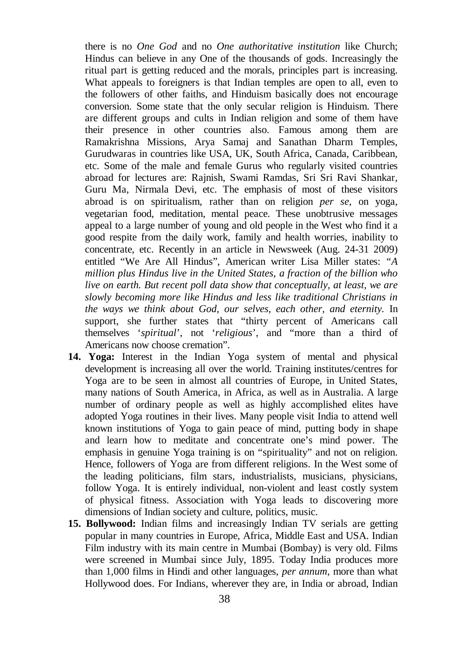there is no *One God* and no *One authoritative institution* like Church; Hindus can believe in any One of the thousands of gods. Increasingly the ritual part is getting reduced and the morals, principles part is increasing. What appeals to foreigners is that Indian temples are open to all, even to the followers of other faiths, and Hinduism basically does not encourage conversion. Some state that the only secular religion is Hinduism. There are different groups and cults in Indian religion and some of them have their presence in other countries also. Famous among them are Ramakrishna Missions, Arya Samaj and Sanathan Dharm Temples, Gurudwaras in countries like USA, UK, South Africa, Canada, Caribbean, etc. Some of the male and female Gurus who regularly visited countries abroad for lectures are: Rajnish, Swami Ramdas, Sri Sri Ravi Shankar, Guru Ma, Nirmala Devi, etc. The emphasis of most of these visitors abroad is on spiritualism, rather than on religion *per se*, on yoga, vegetarian food, meditation, mental peace. These unobtrusive messages appeal to a large number of young and old people in the West who find it a good respite from the daily work, family and health worries, inability to concentrate, etc. Recently in an article in Newsweek (Aug. 24-31 2009) entitled "We Are All Hindus", American writer Lisa Miller states: *"A million plus Hindus live in the United States, a fraction of the billion who live on earth. But recent poll data show that conceptually, at least, we are slowly becoming more like Hindus and less like traditional Christians in the ways we think about God, our selves, each other, and eternity.* In support, she further states that "thirty percent of Americans call themselves '*spiritual*', not '*religious*', and "more than a third of Americans now choose cremation".

- **14. Yoga:** Interest in the Indian Yoga system of mental and physical development is increasing all over the world. Training institutes/centres for Yoga are to be seen in almost all countries of Europe, in United States, many nations of South America, in Africa, as well as in Australia. A large number of ordinary people as well as highly accomplished elites have adopted Yoga routines in their lives. Many people visit India to attend well known institutions of Yoga to gain peace of mind, putting body in shape and learn how to meditate and concentrate one's mind power. The emphasis in genuine Yoga training is on "spirituality" and not on religion. Hence, followers of Yoga are from different religions. In the West some of the leading politicians, film stars, industrialists, musicians, physicians, follow Yoga. It is entirely individual, non-violent and least costly system of physical fitness. Association with Yoga leads to discovering more dimensions of Indian society and culture, politics, music.
- **15. Bollywood:** Indian films and increasingly Indian TV serials are getting popular in many countries in Europe, Africa, Middle East and USA. Indian Film industry with its main centre in Mumbai (Bombay) is very old. Films were screened in Mumbai since July, 1895. Today India produces more than 1,000 films in Hindi and other languages, *per annum*, more than what Hollywood does. For Indians, wherever they are, in India or abroad, Indian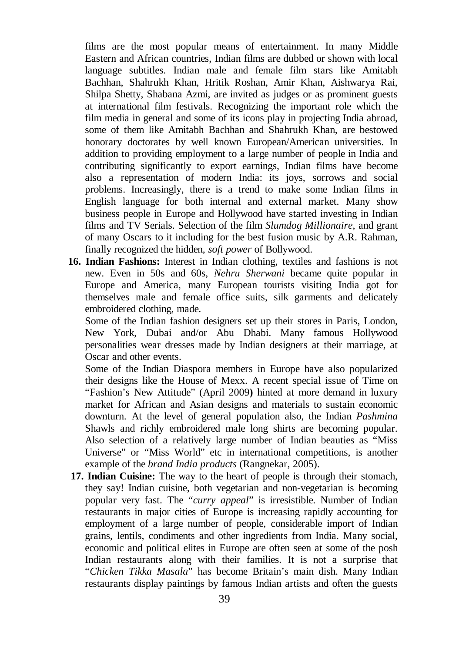films are the most popular means of entertainment. In many Middle Eastern and African countries, Indian films are dubbed or shown with local language subtitles. Indian male and female film stars like Amitabh Bachhan, Shahrukh Khan, Hritik Roshan, Amir Khan, Aishwarya Rai, Shilpa Shetty, Shabana Azmi, are invited as judges or as prominent guests at international film festivals. Recognizing the important role which the film media in general and some of its icons play in projecting India abroad, some of them like Amitabh Bachhan and Shahrukh Khan, are bestowed honorary doctorates by well known European/American universities. In addition to providing employment to a large number of people in India and contributing significantly to export earnings, Indian films have become also a representation of modern India: its joys, sorrows and social problems. Increasingly, there is a trend to make some Indian films in English language for both internal and external market. Many show business people in Europe and Hollywood have started investing in Indian films and TV Serials. Selection of the film *Slumdog Millionaire*, and grant of many Oscars to it including for the best fusion music by A.R. Rahman, finally recognized the hidden, *soft power* of Bollywood.

**16. Indian Fashions:** Interest in Indian clothing, textiles and fashions is not new. Even in 50s and 60s, *Nehru Sherwani* became quite popular in Europe and America, many European tourists visiting India got for themselves male and female office suits, silk garments and delicately embroidered clothing, made.

Some of the Indian fashion designers set up their stores in Paris, London, New York, Dubai and/or Abu Dhabi. Many famous Hollywood personalities wear dresses made by Indian designers at their marriage, at Oscar and other events.

Some of the Indian Diaspora members in Europe have also popularized their designs like the House of Mexx. A recent special issue of Time on "Fashion's New Attitude" (April 2009**)** hinted at more demand in luxury market for African and Asian designs and materials to sustain economic downturn. At the level of general population also, the Indian *Pashmina* Shawls and richly embroidered male long shirts are becoming popular. Also selection of a relatively large number of Indian beauties as "Miss Universe" or "Miss World" etc in international competitions, is another example of the *brand India products* (Rangnekar, 2005).

**17. Indian Cuisine:** The way to the heart of people is through their stomach, they say! Indian cuisine, both vegetarian and non-vegetarian is becoming popular very fast. The "*curry appeal*" is irresistible. Number of Indian restaurants in major cities of Europe is increasing rapidly accounting for employment of a large number of people, considerable import of Indian grains, lentils, condiments and other ingredients from India. Many social, economic and political elites in Europe are often seen at some of the posh Indian restaurants along with their families. It is not a surprise that "*Chicken Tikka Masala*" has become Britain's main dish. Many Indian restaurants display paintings by famous Indian artists and often the guests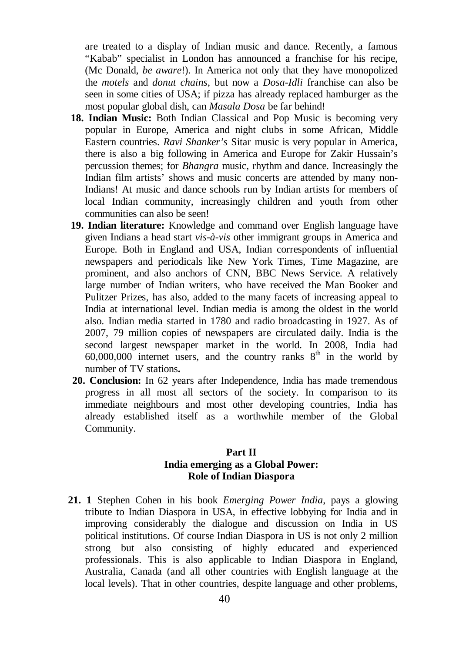are treated to a display of Indian music and dance. Recently, a famous "Kabab" specialist in London has announced a franchise for his recipe, (Mc Donald, *be aware*!). In America not only that they have monopolized the *motels* and *donut chains*, but now a *Dosa-Idli* franchise can also be seen in some cities of USA; if pizza has already replaced hamburger as the most popular global dish, can *Masala Dosa* be far behind!

- **18. Indian Music:** Both Indian Classical and Pop Music is becoming very popular in Europe, America and night clubs in some African, Middle Eastern countries. *Ravi Shanker's* Sitar music is very popular in America, there is also a big following in America and Europe for Zakir Hussain's percussion themes; for *Bhangra* music, rhythm and dance. Increasingly the Indian film artists' shows and music concerts are attended by many non-Indians! At music and dance schools run by Indian artists for members of local Indian community, increasingly children and youth from other communities can also be seen!
- **19. Indian literature:** Knowledge and command over English language have given Indians a head start *vis-à-vis* other immigrant groups in America and Europe. Both in England and USA, Indian correspondents of influential newspapers and periodicals like New York Times, Time Magazine, are prominent, and also anchors of CNN, BBC News Service. A relatively large number of Indian writers, who have received the Man Booker and Pulitzer Prizes, has also, added to the many facets of increasing appeal to India at international level. Indian media is among the oldest in the world also. Indian media started in 1780 and radio broadcasting in 1927. As of 2007, 79 million copies of newspapers are circulated daily. India is the second largest newspaper market in the world. In 2008, India had  $60,000,000$  internet users, and the country ranks  $8<sup>th</sup>$  in the world by number of TV stations**.**
- **20. Conclusion:** In 62 years after Independence, India has made tremendous progress in all most all sectors of the society. In comparison to its immediate neighbours and most other developing countries, India has already established itself as a worthwhile member of the Global Community.

# **Part II India emerging as a Global Power: Role of Indian Diaspora**

**21. 1** Stephen Cohen in his book *Emerging Power India*, pays a glowing tribute to Indian Diaspora in USA, in effective lobbying for India and in improving considerably the dialogue and discussion on India in US political institutions. Of course Indian Diaspora in US is not only 2 million strong but also consisting of highly educated and experienced professionals. This is also applicable to Indian Diaspora in England, Australia, Canada (and all other countries with English language at the local levels). That in other countries, despite language and other problems,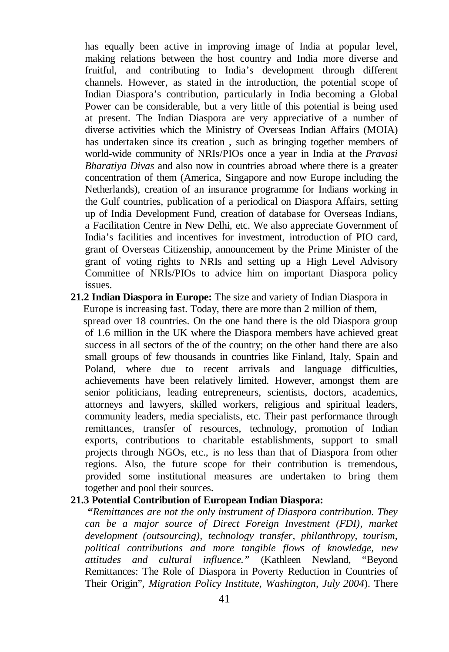has equally been active in improving image of India at popular level, making relations between the host country and India more diverse and fruitful, and contributing to India's development through different channels. However, as stated in the introduction, the potential scope of Indian Diaspora's contribution, particularly in India becoming a Global Power can be considerable, but a very little of this potential is being used at present. The Indian Diaspora are very appreciative of a number of diverse activities which the Ministry of Overseas Indian Affairs (MOIA) has undertaken since its creation , such as bringing together members of world-wide community of NRIs/PIOs once a year in India at the *Pravasi Bharatiya Divas* and also now in countries abroad where there is a greater concentration of them (America, Singapore and now Europe including the Netherlands), creation of an insurance programme for Indians working in the Gulf countries, publication of a periodical on Diaspora Affairs, setting up of India Development Fund, creation of database for Overseas Indians, a Facilitation Centre in New Delhi, etc. We also appreciate Government of India's facilities and incentives for investment, introduction of PIO card, grant of Overseas Citizenship, announcement by the Prime Minister of the grant of voting rights to NRIs and setting up a High Level Advisory Committee of NRIs/PIOs to advice him on important Diaspora policy issues.

**21.2 Indian Diaspora in Europe:** The size and variety of Indian Diaspora in Europe is increasing fast. Today, there are more than 2 million of them, spread over 18 countries. On the one hand there is the old Diaspora group of 1.6 million in the UK where the Diaspora members have achieved great success in all sectors of the of the country; on the other hand there are also small groups of few thousands in countries like Finland, Italy, Spain and Poland, where due to recent arrivals and language difficulties, achievements have been relatively limited. However, amongst them are senior politicians, leading entrepreneurs, scientists, doctors, academics, attorneys and lawyers, skilled workers, religious and spiritual leaders, community leaders, media specialists, etc. Their past performance through remittances, transfer of resources, technology, promotion of Indian exports, contributions to charitable establishments, support to small projects through NGOs, etc., is no less than that of Diaspora from other regions. Also, the future scope for their contribution is tremendous, provided some institutional measures are undertaken to bring them together and pool their sources.

#### **21.3 Potential Contribution of European Indian Diaspora:**

 **"***Remittances are not the only instrument of Diaspora contribution. They can be a major source of Direct Foreign Investment (FDI), market development (outsourcing), technology transfer, philanthropy, tourism, political contributions and more tangible flows of knowledge, new attitudes and cultural influence."* (Kathleen Newland, "Beyond Remittances: The Role of Diaspora in Poverty Reduction in Countries of Their Origin", *Migration Policy Institute, Washington, July 2004*). There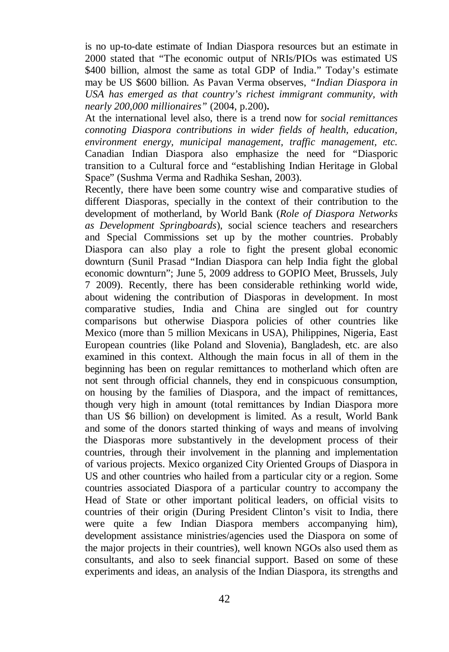is no up-to-date estimate of Indian Diaspora resources but an estimate in 2000 stated that "The economic output of NRIs/PIOs was estimated US \$400 billion, almost the same as total GDP of India." Today's estimate may be US \$600 billion. As Pavan Verma observes, *"Indian Diaspora in USA has emerged as that country's richest immigrant community, with nearly 200,000 millionaires"* (2004, p.200)**.**

At the international level also, there is a trend now for *social remittances connoting Diaspora contributions in wider fields of health, education, environment energy, municipal management, traffic management, etc.*  Canadian Indian Diaspora also emphasize the need for "Diasporic transition to a Cultural force and "establishing Indian Heritage in Global Space" (Sushma Verma and Radhika Seshan, 2003).

Recently, there have been some country wise and comparative studies of different Diasporas, specially in the context of their contribution to the development of motherland, by World Bank (*Role of Diaspora Networks as Development Springboards*), social science teachers and researchers and Special Commissions set up by the mother countries. Probably Diaspora can also play a role to fight the present global economic downturn (Sunil Prasad "Indian Diaspora can help India fight the global economic downturn"; June 5, 2009 address to GOPIO Meet, Brussels, July 7 2009). Recently, there has been considerable rethinking world wide, about widening the contribution of Diasporas in development. In most comparative studies, India and China are singled out for country comparisons but otherwise Diaspora policies of other countries like Mexico (more than 5 million Mexicans in USA), Philippines, Nigeria, East European countries (like Poland and Slovenia), Bangladesh, etc. are also examined in this context. Although the main focus in all of them in the beginning has been on regular remittances to motherland which often are not sent through official channels, they end in conspicuous consumption, on housing by the families of Diaspora, and the impact of remittances, though very high in amount (total remittances by Indian Diaspora more than US \$6 billion) on development is limited. As a result, World Bank and some of the donors started thinking of ways and means of involving the Diasporas more substantively in the development process of their countries, through their involvement in the planning and implementation of various projects. Mexico organized City Oriented Groups of Diaspora in US and other countries who hailed from a particular city or a region. Some countries associated Diaspora of a particular country to accompany the Head of State or other important political leaders, on official visits to countries of their origin (During President Clinton's visit to India, there were quite a few Indian Diaspora members accompanying him), development assistance ministries/agencies used the Diaspora on some of the major projects in their countries), well known NGOs also used them as consultants, and also to seek financial support. Based on some of these experiments and ideas, an analysis of the Indian Diaspora, its strengths and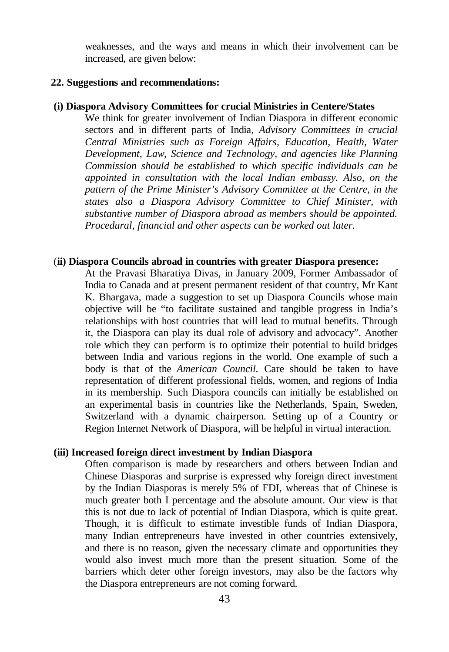weaknesses, and the ways and means in which their involvement can be increased, are given below:

#### **22. Suggestions and recommendations:**

#### **(i) Diaspora Advisory Committees for crucial Ministries in Centere/States**

We think for greater involvement of Indian Diaspora in different economic sectors and in different parts of India, *Advisory Committees in crucial Central Ministries such as Foreign Affairs, Education, Health, Water Development, Law, Science and Technology, and agencies like Planning Commission should be established to which specific individuals can be appointed in consultation with the local Indian embassy. Also, on the pattern of the Prime Minister's Advisory Committee at the Centre, in the states also a Diaspora Advisory Committee to Chief Minister, with substantive number of Diaspora abroad as members should be appointed. Procedural, financial and other aspects can be worked out later.* 

#### (**ii) Diaspora Councils abroad in countries with greater Diaspora presence:**

At the Pravasi Bharatiya Divas, in January 2009, Former Ambassador of India to Canada and at present permanent resident of that country, Mr Kant K. Bhargava, made a suggestion to set up Diaspora Councils whose main objective will be "to facilitate sustained and tangible progress in India's relationships with host countries that will lead to mutual benefits. Through it, the Diaspora can play its dual role of advisory and advocacy". Another role which they can perform is to optimize their potential to build bridges between India and various regions in the world. One example of such a body is that of the *American Council.* Care should be taken to have representation of different professional fields, women, and regions of India in its membership. Such Diaspora councils can initially be established on an experimental basis in countries like the Netherlands, Spain, Sweden, Switzerland with a dynamic chairperson. Setting up of a Country or Region Internet Network of Diaspora, will be helpful in virtual interaction.

#### **(iii) Increased foreign direct investment by Indian Diaspora**

Often comparison is made by researchers and others between Indian and Chinese Diasporas and surprise is expressed why foreign direct investment by the Indian Diasporas is merely 5% of FDI, whereas that of Chinese is much greater both I percentage and the absolute amount. Our view is that this is not due to lack of potential of Indian Diaspora, which is quite great. Though, it is difficult to estimate investible funds of Indian Diaspora, many Indian entrepreneurs have invested in other countries extensively, and there is no reason, given the necessary climate and opportunities they would also invest much more than the present situation. Some of the barriers which deter other foreign investors, may also be the factors why the Diaspora entrepreneurs are not coming forward.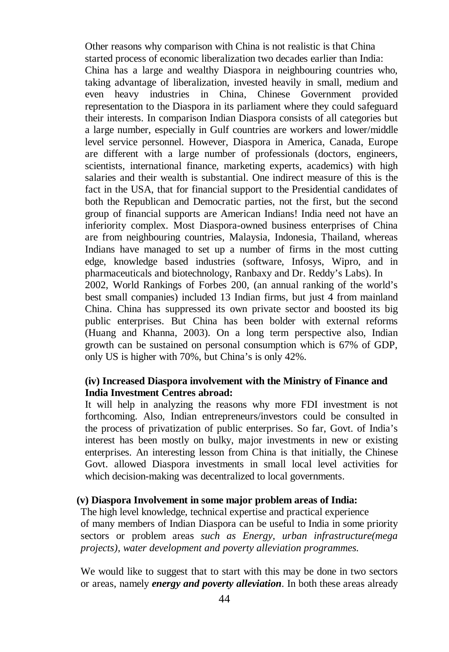Other reasons why comparison with China is not realistic is that China started process of economic liberalization two decades earlier than India: China has a large and wealthy Diaspora in neighbouring countries who, taking advantage of liberalization, invested heavily in small, medium and even heavy industries in China, Chinese Government provided representation to the Diaspora in its parliament where they could safeguard their interests. In comparison Indian Diaspora consists of all categories but a large number, especially in Gulf countries are workers and lower/middle level service personnel. However, Diaspora in America, Canada, Europe are different with a large number of professionals (doctors, engineers, scientists, international finance, marketing experts, academics) with high salaries and their wealth is substantial. One indirect measure of this is the fact in the USA, that for financial support to the Presidential candidates of both the Republican and Democratic parties, not the first, but the second group of financial supports are American Indians! India need not have an inferiority complex. Most Diaspora-owned business enterprises of China are from neighbouring countries, Malaysia, Indonesia, Thailand, whereas Indians have managed to set up a number of firms in the most cutting edge, knowledge based industries (software, Infosys, Wipro, and in pharmaceuticals and biotechnology, Ranbaxy and Dr. Reddy's Labs). In 2002, World Rankings of Forbes 200, (an annual ranking of the world's best small companies) included 13 Indian firms, but just 4 from mainland China. China has suppressed its own private sector and boosted its big public enterprises. But China has been bolder with external reforms (Huang and Khanna, 2003). On a long term perspective also, Indian growth can be sustained on personal consumption which is 67% of GDP, only US is higher with 70%, but China's is only 42%.

# **(iv) Increased Diaspora involvement with the Ministry of Finance and India Investment Centres abroad:**

It will help in analyzing the reasons why more FDI investment is not forthcoming. Also, Indian entrepreneurs/investors could be consulted in the process of privatization of public enterprises. So far, Govt. of India's interest has been mostly on bulky, major investments in new or existing enterprises. An interesting lesson from China is that initially, the Chinese Govt. allowed Diaspora investments in small local level activities for which decision-making was decentralized to local governments.

#### **(v) Diaspora Involvement in some major problem areas of India:**

The high level knowledge, technical expertise and practical experience of many members of Indian Diaspora can be useful to India in some priority sectors or problem areas *such as Energy, urban infrastructure(mega projects), water development and poverty alleviation programmes.*

We would like to suggest that to start with this may be done in two sectors or areas, namely *energy and poverty alleviation*. In both these areas already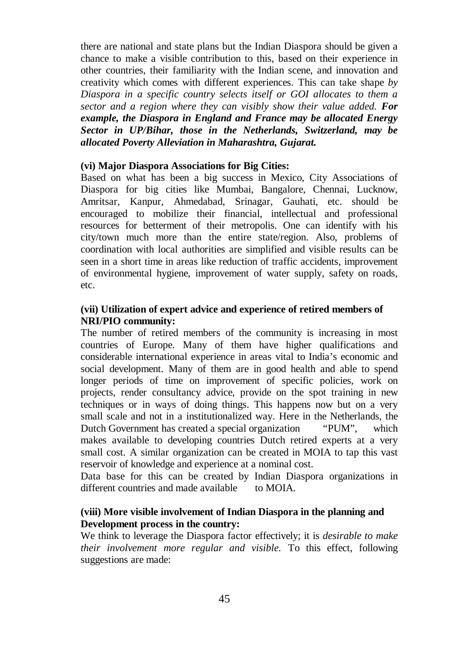there are national and state plans but the Indian Diaspora should be given a chance to make a visible contribution to this, based on their experience in other countries, their familiarity with the Indian scene, and innovation and creativity which comes with different experiences. This can take shape *by Diaspora in a specific country selects itself or GOI allocates to them a sector and a region where they can visibly show their value added. For example, the Diaspora in England and France may be allocated Energy Sector in UP/Bihar, those in the Netherlands, Switzerland, may be allocated Poverty Alleviation in Maharashtra, Gujarat.*

#### **(vi) Major Diaspora Associations for Big Cities:**

Based on what has been a big success in Mexico, City Associations of Diaspora for big cities like Mumbai, Bangalore, Chennai, Lucknow, Amritsar, Kanpur, Ahmedabad, Srinagar, Gauhati, etc. should be encouraged to mobilize their financial, intellectual and professional resources for betterment of their metropolis. One can identify with his city/town much more than the entire state/region. Also, problems of coordination with local authorities are simplified and visible results can be seen in a short time in areas like reduction of traffic accidents, improvement of environmental hygiene, improvement of water supply, safety on roads, etc.

# **(vii) Utilization of expert advice and experience of retired members of NRI/PIO community:**

The number of retired members of the community is increasing in most countries of Europe. Many of them have higher qualifications and considerable international experience in areas vital to India's economic and social development. Many of them are in good health and able to spend longer periods of time on improvement of specific policies, work on projects, render consultancy advice, provide on the spot training in new techniques or in ways of doing things. This happens now but on a very small scale and not in a institutionalized way. Here in the Netherlands, the Dutch Government has created a special organization "PUM", which makes available to developing countries Dutch retired experts at a very small cost. A similar organization can be created in MOIA to tap this vast reservoir of knowledge and experience at a nominal cost.

Data base for this can be created by Indian Diaspora organizations in different countries and made available to MOIA.

## **(viii) More visible involvement of Indian Diaspora in the planning and Development process in the country:**

We think to leverage the Diaspora factor effectively; it is *desirable to make their involvement more regular and visible.* To this effect, following suggestions are made: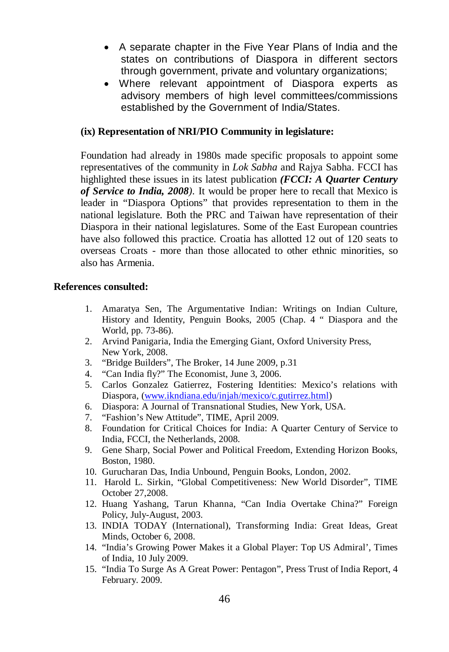- A separate chapter in the Five Year Plans of India and the states on contributions of Diaspora in different sectors through government, private and voluntary organizations;
- Where relevant appointment of Diaspora experts as advisory members of high level committees/commissions established by the Government of India/States.

# **(ix) Representation of NRI/PIO Community in legislature:**

Foundation had already in 1980s made specific proposals to appoint some representatives of the community in *Lok Sabha* and Rajya Sabha. FCCI has highlighted these issues in its latest publication *(FCCI: A Quarter Century of Service to India, 2008).* It would be proper here to recall that Mexico is leader in "Diaspora Options" that provides representation to them in the national legislature. Both the PRC and Taiwan have representation of their Diaspora in their national legislatures. Some of the East European countries have also followed this practice. Croatia has allotted 12 out of 120 seats to overseas Croats - more than those allocated to other ethnic minorities, so also has Armenia.

## **References consulted:**

- 1. Amaratya Sen, The Argumentative Indian: Writings on Indian Culture, History and Identity, Penguin Books, 2005 (Chap. 4 " Diaspora and the World, pp. 73-86).
- 2. Arvind Panigaria, India the Emerging Giant, Oxford University Press, New York, 2008.
- 3. "Bridge Builders", The Broker, 14 June 2009, p.31
- 4. "Can India fly?" The Economist, June 3, 2006.
- 5. Carlos Gonzalez Gatierrez, Fostering Identities: Mexico's relations with Diaspora, (www.ikndiana.edu/injah/mexico/c.gutirrez.html)
- 6. Diaspora: A Journal of Transnational Studies, New York, USA.
- 7. "Fashion's New Attitude", TIME, April 2009.
- 8. Foundation for Critical Choices for India: A Quarter Century of Service to India, FCCI, the Netherlands, 2008.
- 9. Gene Sharp, Social Power and Political Freedom, Extending Horizon Books, Boston, 1980.
- 10. Gurucharan Das, India Unbound, Penguin Books, London, 2002.
- 11. Harold L. Sirkin, "Global Competitiveness: New World Disorder", TIME October 27,2008.
- 12. Huang Yashang, Tarun Khanna, "Can India Overtake China?" Foreign Policy, July-August, 2003.
- 13. INDIA TODAY (International), Transforming India: Great Ideas, Great Minds, October 6, 2008.
- 14. "India's Growing Power Makes it a Global Player: Top US Admiral', Times of India, 10 July 2009.
- 15. "India To Surge As A Great Power: Pentagon", Press Trust of India Report, 4 February. 2009.